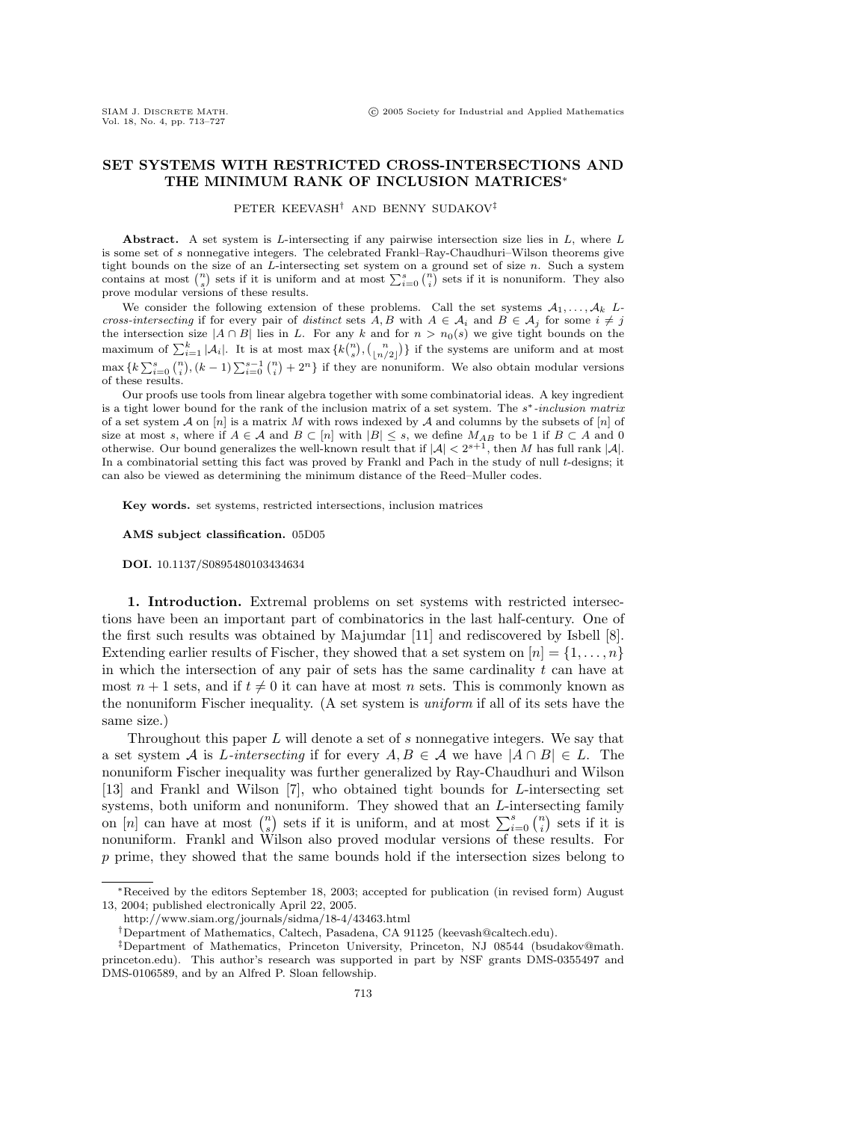## **SET SYSTEMS WITH RESTRICTED CROSS-INTERSECTIONS AND THE MINIMUM RANK OF INCLUSION MATRICES**∗

PETER KEEVASH† AND BENNY SUDAKOV‡

**Abstract.** A set system is L-intersecting if any pairwise intersection size lies in  $L$ , where  $L$ is some set of s nonnegative integers. The celebrated Frankl–Ray-Chaudhuri–Wilson theorems give tight bounds on the size of an  $L$ -intersecting set system on a ground set of size  $n$ . Such a system contains at most  $\binom{n}{s}$  sets if it is uniform and at most  $\sum_{i=0}^{s} \binom{n}{i}$  sets if it is nonuniform. They also prove modular versions of these results.

We consider the following extension of these problems. Call the set systems  $A_1, \ldots, A_k$  Lcross-intersecting if for every pair of distinct sets A, B with  $A \in \mathcal{A}_i$  and  $B \in \mathcal{A}_j$  for some  $i \neq j$ the intersection size  $|A \cap B|$  lies in L. For any k and for  $n > n_0(s)$  we give tight bounds on the maximum of  $\sum_{i=1}^k |\mathcal{A}_i|$ . It is at most max  $\{k\binom{n}{s}, \binom{n}{\lfloor n/2 \rfloor}\}$  if the systems are uniform and at most  $\max\{k\sum_{i=0}^{s} {n \choose i}, (k-1)\sum_{i=0}^{s-1} {n \choose i} + 2^n\}$  if they are nonuniform. We also obtain modular versions of these results.

Our proofs use tools from linear algebra together with some combinatorial ideas. A key ingredient is a tight lower bound for the rank of the inclusion matrix of a set system. The s∗-inclusion matrix of a set system A on  $[n]$  is a matrix M with rows indexed by A and columns by the subsets of  $[n]$  of size at most s, where if  $A \in \mathcal{A}$  and  $B \subset [n]$  with  $|B| \leq s$ , we define  $M_{AB}$  to be 1 if  $B \subset A$  and 0 otherwise. Our bound generalizes the well-known result that if  $|\mathcal{A}| < 2^{s+1}$ , then M has full rank  $|\mathcal{A}|$ . In a combinatorial setting this fact was proved by Frankl and Pach in the study of null t-designs; it can also be viewed as determining the minimum distance of the Reed–Muller codes.

**Key words.** set systems, restricted intersections, inclusion matrices

**AMS subject classification.** 05D05

**DOI.** 10.1137/S0895480103434634

**1. Introduction.** Extremal problems on set systems with restricted intersections have been an important part of combinatorics in the last half-century. One of the first such results was obtained by Majumdar [11] and rediscovered by Isbell [8]. Extending earlier results of Fischer, they showed that a set system on  $[n] = \{1, \ldots, n\}$ in which the intersection of any pair of sets has the same cardinality  $t$  can have at most  $n+1$  sets, and if  $t \neq 0$  it can have at most n sets. This is commonly known as the nonuniform Fischer inequality. (A set system is uniform if all of its sets have the same size.)

Throughout this paper  $L$  will denote a set of  $s$  nonnegative integers. We say that a set system A is L-intersecting if for every  $A, B \in \mathcal{A}$  we have  $|A \cap B| \in L$ . The nonuniform Fischer inequality was further generalized by Ray-Chaudhuri and Wilson [13] and Frankl and Wilson [7], who obtained tight bounds for L-intersecting set systems, both uniform and nonuniform. They showed that an L-intersecting family on [n] can have at most  $\binom{n}{s}$  sets if it is uniform, and at most  $\sum_{i=0}^{s} \binom{n}{i}$  sets if it is nonuniform. Frankl and Wilson also proved modular versions of these results. For p prime, they showed that the same bounds hold if the intersection sizes belong to

<sup>∗</sup>Received by the editors September 18, 2003; accepted for publication (in revised form) August 13, 2004; published electronically April 22, 2005.

http://www.siam.org/journals/sidma/18-4/43463.html

<sup>†</sup>Department of Mathematics, Caltech, Pasadena, CA 91125 (keevash@caltech.edu).

<sup>‡</sup>Department of Mathematics, Princeton University, Princeton, NJ 08544 (bsudakov@math. princeton.edu). This author's research was supported in part by NSF grants DMS-0355497 and DMS-0106589, and by an Alfred P. Sloan fellowship.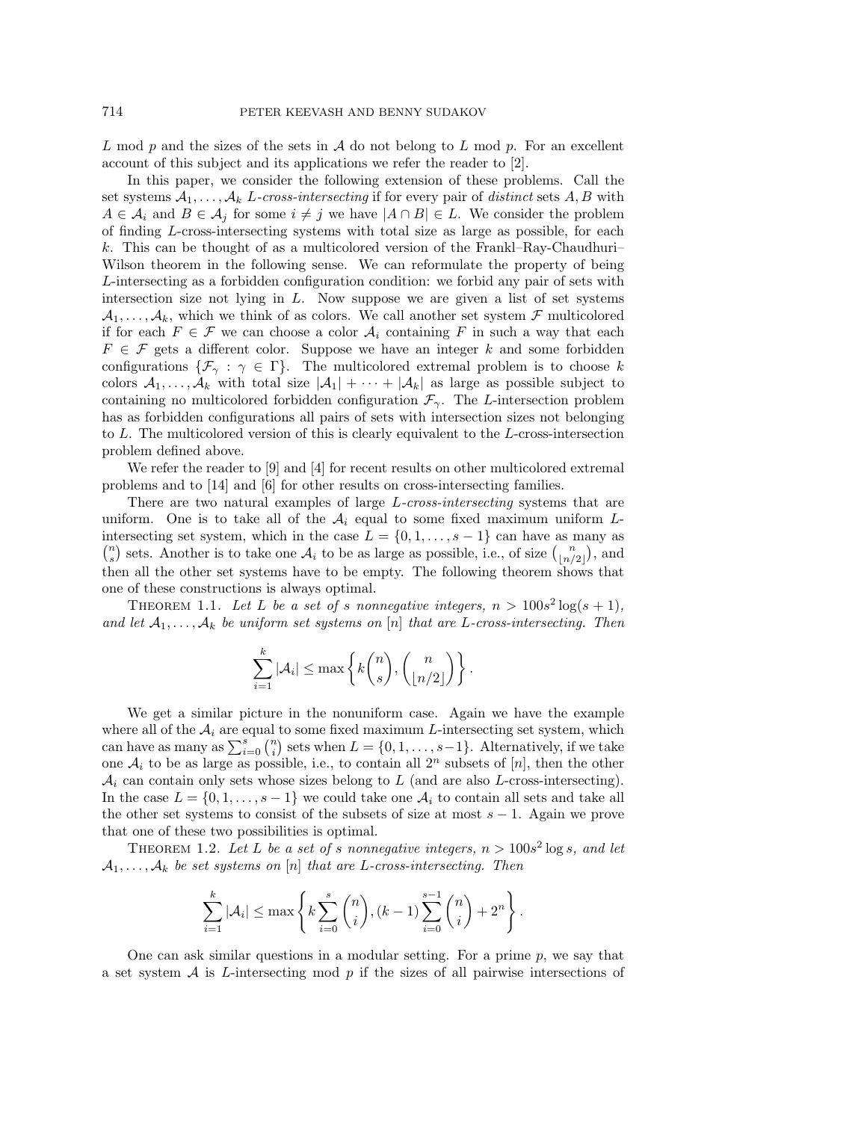L mod p and the sizes of the sets in  $\mathcal A$  do not belong to L mod p. For an excellent account of this subject and its applications we refer the reader to [2].

In this paper, we consider the following extension of these problems. Call the set systems  $A_1, \ldots, A_k$  L-cross-intersecting if for every pair of distinct sets A, B with  $A \in \mathcal{A}_i$  and  $B \in \mathcal{A}_j$  for some  $i \neq j$  we have  $|A \cap B| \in L$ . We consider the problem of finding L-cross-intersecting systems with total size as large as possible, for each k. This can be thought of as a multicolored version of the Frankl–Ray-Chaudhuri– Wilson theorem in the following sense. We can reformulate the property of being L-intersecting as a forbidden configuration condition: we forbid any pair of sets with intersection size not lying in  $L$ . Now suppose we are given a list of set systems  $\mathcal{A}_1,\ldots,\mathcal{A}_k$ , which we think of as colors. We call another set system  $\mathcal F$  multicolored if for each  $F \in \mathcal{F}$  we can choose a color  $\mathcal{A}_i$  containing F in such a way that each  $F \in \mathcal{F}$  gets a different color. Suppose we have an integer k and some forbidden configurations  $\{\mathcal{F}_{\gamma} : \gamma \in \Gamma\}$ . The multicolored extremal problem is to choose k colors  $A_1,\ldots,A_k$  with total size  $|A_1|+\cdots+|A_k|$  as large as possible subject to containing no multicolored forbidden configuration  $\mathcal{F}_{\gamma}$ . The L-intersection problem has as forbidden configurations all pairs of sets with intersection sizes not belonging to L. The multicolored version of this is clearly equivalent to the L-cross-intersection problem defined above.

We refer the reader to [9] and [4] for recent results on other multicolored extremal problems and to [14] and [6] for other results on cross-intersecting families.

There are two natural examples of large L-cross-intersecting systems that are uniform. One is to take all of the  $A_i$  equal to some fixed maximum uniform Lintersecting set system, which in the case  $L = \{0, 1, \ldots, s - 1\}$  can have as many as  $\binom{n}{s}$  sets. Another is to take one  $\mathcal{A}_i$  to be as large as possible, i.e., of size  $\binom{n}{\lfloor n/2 \rfloor}$ , and then all the other set systems have to be empty. The following theorem shows that one of these constructions is always optimal.

THEOREM 1.1. Let L be a set of s nonnegative integers,  $n > 100s^2 \log(s + 1)$ , and let  $A_1, \ldots, A_k$  be uniform set systems on [n] that are L-cross-intersecting. Then

$$
\sum_{i=1}^k |\mathcal{A}_i| \le \max\left\{k\binom{n}{s}, \binom{n}{\lfloor n/2 \rfloor}\right\}.
$$

We get a similar picture in the nonuniform case. Again we have the example where all of the  $A_i$  are equal to some fixed maximum L-intersecting set system, which can have as many as  $\sum_{i=0}^{s} {n \choose i}$  sets when  $L = \{0, 1, \ldots, s-1\}$ . Alternatively, if we take one  $A_i$  to be as large as possible, i.e., to contain all  $2^n$  subsets of [n], then the other  $A_i$  can contain only sets whose sizes belong to L (and are also L-cross-intersecting). In the case  $L = \{0, 1, \ldots, s-1\}$  we could take one  $\mathcal{A}_i$  to contain all sets and take all the other set systems to consist of the subsets of size at most  $s - 1$ . Again we prove that one of these two possibilities is optimal.

THEOREM 1.2. Let L be a set of s nonnegative integers,  $n > 100s^2 \log s$ , and let  $A_1, \ldots, A_k$  be set systems on [n] that are L-cross-intersecting. Then

$$
\sum_{i=1}^{k} |\mathcal{A}_i| \le \max\left\{ k \sum_{i=0}^{s} {n \choose i}, (k-1) \sum_{i=0}^{s-1} {n \choose i} + 2^n \right\}.
$$

One can ask similar questions in a modular setting. For a prime  $p$ , we say that a set system  $A$  is L-intersecting mod  $p$  if the sizes of all pairwise intersections of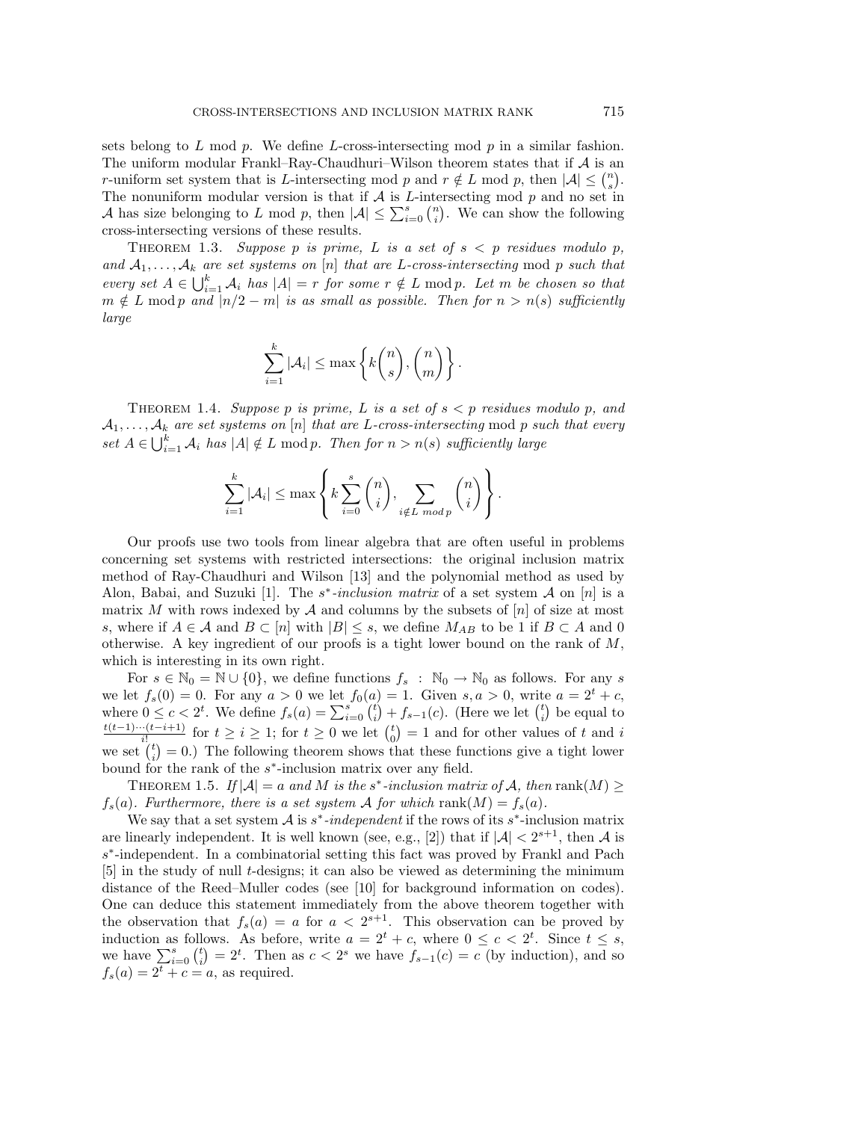sets belong to  $L$  mod  $p$ . We define  $L$ -cross-intersecting mod  $p$  in a similar fashion. The uniform modular Frankl–Ray-Chaudhuri–Wilson theorem states that if  $A$  is an r-uniform set system that is L-intersecting mod p and  $r \notin L$  mod p, then  $|A| \leq {n \choose s}$ . The nonuniform modular version is that if  $A$  is  $L$ -intersecting mod  $p$  and no set in A has size belonging to L mod p, then  $|A| \leq \sum_{i=0}^{s} {n \choose i}$ . We can show the following cross-intersecting versions of these results.

THEOREM 1.3. Suppose p is prime, L is a set of  $s < p$  residues modulo p, and  $A_1, \ldots, A_k$  are set systems on [n] that are L-cross-intersecting mod p such that every set  $A \in \bigcup_{i=1}^k \mathcal{A}_i$  has  $|A| = r$  for some  $r \notin L \mod p$ . Let m be chosen so that  $m \notin L \mod p$  and  $|n/2 - m|$  is as small as possible. Then for  $n > n(s)$  sufficiently large

$$
\sum_{i=1}^k |\mathcal{A}_i| \le \max\left\{k\binom{n}{s}, \binom{n}{m}\right\}.
$$

THEOREM 1.4. Suppose p is prime, L is a set of  $s < p$  residues modulo p, and  $A_1, \ldots, A_k$  are set systems on [n] that are L-cross-intersecting mod p such that every set  $A \in \bigcup_{i=1}^k \mathcal{A}_i$  has  $|A| \notin L \text{ mod } p$ . Then for  $n > n(s)$  sufficiently large

$$
\sum_{i=1}^k |\mathcal{A}_i| \leq \max\left\{k \sum_{i=0}^s \binom{n}{i}, \sum_{i \notin L \bmod p} \binom{n}{i}\right\}.
$$

Our proofs use two tools from linear algebra that are often useful in problems concerning set systems with restricted intersections: the original inclusion matrix method of Ray-Chaudhuri and Wilson [13] and the polynomial method as used by Alon, Babai, and Suzuki [1]. The s<sup>\*</sup>-inclusion matrix of a set system A on [n] is a matrix M with rows indexed by  $A$  and columns by the subsets of  $[n]$  of size at most s, where if  $A \in \mathcal{A}$  and  $B \subset [n]$  with  $|B| \leq s$ , we define  $M_{AB}$  to be 1 if  $B \subset A$  and 0 otherwise. A key ingredient of our proofs is a tight lower bound on the rank of  $M$ , which is interesting in its own right.

For  $s \in \mathbb{N}_0 = \mathbb{N} \cup \{0\}$ , we define functions  $f_s : \mathbb{N}_0 \to \mathbb{N}_0$  as follows. For any s we let  $f_s(0) = 0$ . For any  $a > 0$  we let  $f_0(a) = 1$ . Given  $s, a > 0$ , write  $a = 2^t + c$ , where  $0 \leq c < 2^t$ . We define  $f_s(a) = \sum_{i=0}^s \binom{t}{i} + f_{s-1}(c)$ . (Here we let  $\binom{t}{i}$  be equal to  $\frac{t(t-1)\cdots(t-i+1)}{i!}$  for  $t \geq i \geq 1$ ; for  $t \geq 0$  we let  $\binom{t}{0} = 1$  and for other values of t and i we set  $\binom{t}{i} = 0$ .) The following theorem shows that these functions give a tight lower bound for the rank of the s∗-inclusion matrix over any field.

THEOREM 1.5. If  $|\mathcal{A}| = a$  and M is the s<sup>\*</sup>-inclusion matrix of A, then rank(M)  $\geq$  $f_s(a)$ . Furthermore, there is a set system A for which rank $(M) = f_s(a)$ .

We say that a set system  $A$  is  $s^*$ -independent if the rows of its  $s^*$ -inclusion matrix are linearly independent. It is well known (see, e.g., [2]) that if  $|\mathcal{A}| < 2^{s+1}$ , then A is s∗-independent. In a combinatorial setting this fact was proved by Frankl and Pach [5] in the study of null t-designs; it can also be viewed as determining the minimum distance of the Reed–Muller codes (see [10] for background information on codes). One can deduce this statement immediately from the above theorem together with the observation that  $f_s(a) = a$  for  $a < 2^{s+1}$ . This observation can be proved by induction as follows. As before, write  $a = 2^t + c$ , where  $0 \leq c < 2^t$ . Since  $t \leq s$ , we have  $\sum_{i=0}^{s} {t \choose i} = 2^t$ . Then as  $c < 2^s$  we have  $f_{s-1}(c) = c$  (by induction), and so  $f_s(a)=2^t + c = a$ , as required.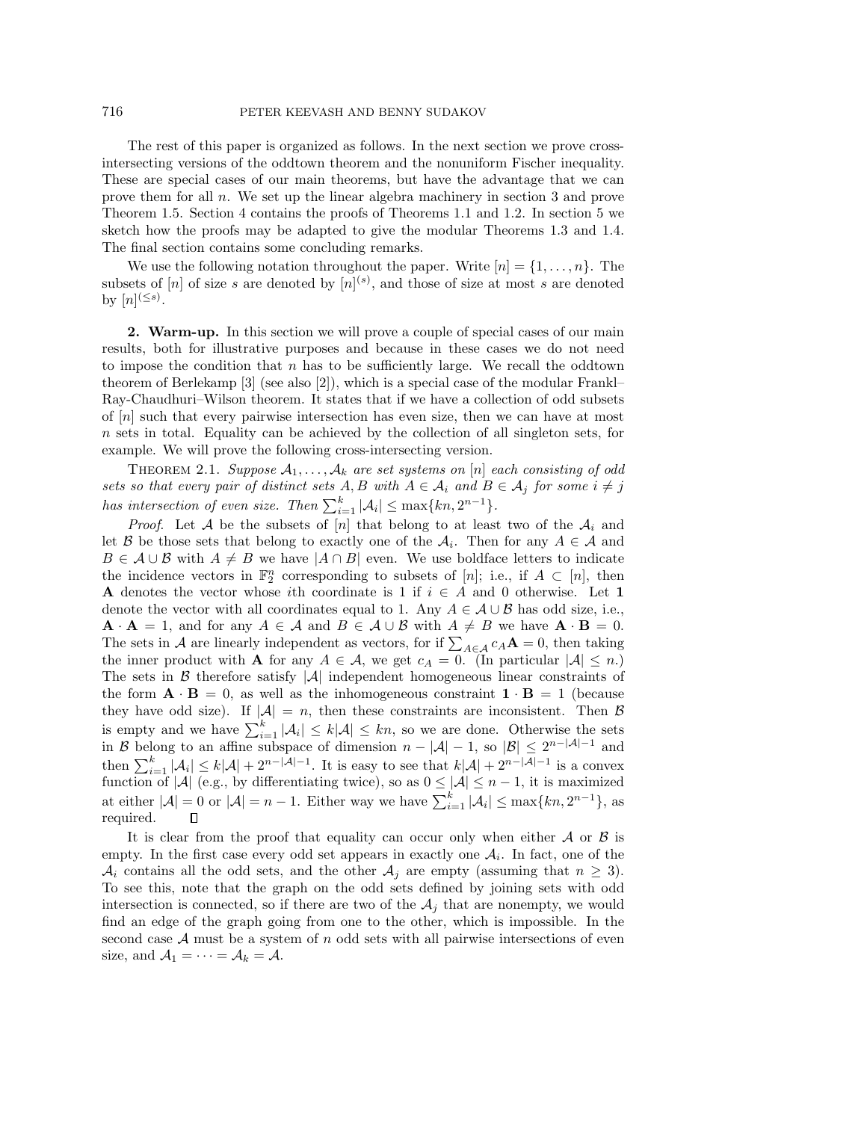The rest of this paper is organized as follows. In the next section we prove crossintersecting versions of the oddtown theorem and the nonuniform Fischer inequality. These are special cases of our main theorems, but have the advantage that we can prove them for all n. We set up the linear algebra machinery in section 3 and prove Theorem 1.5. Section 4 contains the proofs of Theorems 1.1 and 1.2. In section 5 we sketch how the proofs may be adapted to give the modular Theorems 1.3 and 1.4. The final section contains some concluding remarks.

We use the following notation throughout the paper. Write  $[n] = \{1, \ldots, n\}$ . The subsets of  $[n]$  of size s are denoted by  $[n]^{(s)}$ , and those of size at most s are denoted by  $[n]^{(\leq s)}$ .

**2. Warm-up.** In this section we will prove a couple of special cases of our main results, both for illustrative purposes and because in these cases we do not need to impose the condition that  $n$  has to be sufficiently large. We recall the oddtown theorem of Berlekamp [3] (see also [2]), which is a special case of the modular Frankl– Ray-Chaudhuri–Wilson theorem. It states that if we have a collection of odd subsets of [n] such that every pairwise intersection has even size, then we can have at most n sets in total. Equality can be achieved by the collection of all singleton sets, for example. We will prove the following cross-intersecting version.

THEOREM 2.1. Suppose  $A_1, \ldots, A_k$  are set systems on [n] each consisting of odd sets so that every pair of distinct sets  $A, B$  with  $A \in \mathcal{A}_i$  and  $B \in \mathcal{A}_j$  for some  $i \neq j$ has intersection of even size. Then  $\sum_{i=1}^{k} |\mathcal{A}_i| \leq \max\{kn, 2^{n-1}\}.$ 

*Proof.* Let A be the subsets of [n] that belong to at least two of the  $A_i$  and let B be those sets that belong to exactly one of the  $A_i$ . Then for any  $A \in \mathcal{A}$  and  $B \in \mathcal{A} \cup \mathcal{B}$  with  $A \neq B$  we have  $|A \cap B|$  even. We use boldface letters to indicate the incidence vectors in  $\mathbb{F}_2^n$  corresponding to subsets of [n]; i.e., if  $A \subset [n]$ , then **A** denotes the vector whose ith coordinate is 1 if  $i \in A$  and 0 otherwise. Let 1 denote the vector with all coordinates equal to 1. Any  $A \in \mathcal{A} \cup \mathcal{B}$  has odd size, i.e.,  $\mathbf{A} \cdot \mathbf{A} = 1$ , and for any  $A \in \mathcal{A}$  and  $B \in \mathcal{A} \cup \mathcal{B}$  with  $A \neq B$  we have  $\mathbf{A} \cdot \mathbf{B} = 0$ . The sets in A are linearly independent as vectors, for if  $\sum_{A \in \mathcal{A}} c_A \mathbf{A} = 0$ , then taking the inner product with **A** for any  $A \in \mathcal{A}$ , we get  $c_A = 0$ . (In particular  $|\mathcal{A}| \leq n$ .) The sets in  $\beta$  therefore satisfy  $|\mathcal{A}|$  independent homogeneous linear constraints of the form  $\mathbf{A} \cdot \mathbf{B} = 0$ , as well as the inhomogeneous constraint  $\mathbf{1} \cdot \mathbf{B} = 1$  (because they have odd size). If  $|A| = n$ , then these constraints are inconsistent. Then B is empty and we have  $\sum_{i=1}^{k} |\mathcal{A}_i| \leq k|\mathcal{A}| \leq kn$ , so we are done. Otherwise the sets in B belong to an affine subspace of dimension  $n - |\mathcal{A}| - 1$ , so  $|\mathcal{B}| \leq 2^{n-|\mathcal{A}|-1}$  and then  $\sum_{i=1}^k |\mathcal{A}_i| \leq k|\mathcal{A}| + 2^{n-|\mathcal{A}|-1}$ . It is easy to see that  $k|\mathcal{A}| + 2^{n-|\mathcal{A}|-1}$  is a convex function of  $|\mathcal{A}|$  (e.g., by differentiating twice), so as  $0 \leq |\mathcal{A}| \leq n-1$ , it is maximized at either  $|\mathcal{A}| = 0$  or  $|\mathcal{A}| = n - 1$ . Either way we have  $\sum_{i=1}^{k} |\mathcal{A}_i| \le \max\{kn, 2^{n-1}\}\$ , as required.  $\Box$ 

It is clear from the proof that equality can occur only when either  $\mathcal A$  or  $\mathcal B$  is empty. In the first case every odd set appears in exactly one  $A_i$ . In fact, one of the  $\mathcal{A}_i$  contains all the odd sets, and the other  $\mathcal{A}_j$  are empty (assuming that  $n \geq 3$ ). To see this, note that the graph on the odd sets defined by joining sets with odd intersection is connected, so if there are two of the  $A_j$  that are nonempty, we would find an edge of the graph going from one to the other, which is impossible. In the second case  $A$  must be a system of  $n$  odd sets with all pairwise intersections of even size, and  $A_1 = \cdots = A_k = A$ .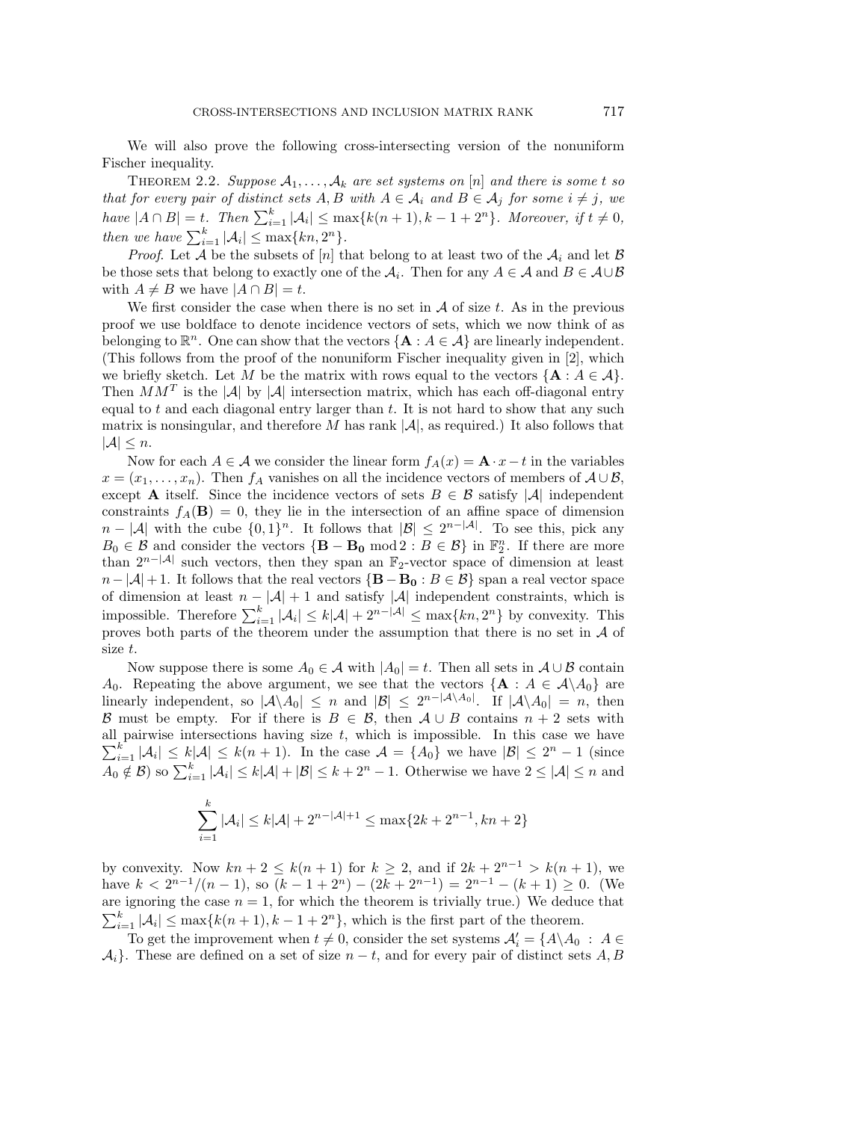We will also prove the following cross-intersecting version of the nonuniform Fischer inequality.

THEOREM 2.2. Suppose  $A_1, \ldots, A_k$  are set systems on [n] and there is some t so that for every pair of distinct sets  $A, B$  with  $A \in \mathcal{A}_i$  and  $B \in \mathcal{A}_j$  for some  $i \neq j$ , we have  $|A \cap B| = t$ . Then  $\sum_{i=1}^{k} |\mathcal{A}_i| \le \max\{k(n+1), k-1+2^n\}$ . Moreover, if  $t \ne 0$ , then we have  $\sum_{i=1}^{k} |\mathcal{A}_i| \leq \max\{kn, 2^n\}.$ 

*Proof.* Let A be the subsets of [n] that belong to at least two of the  $A_i$  and let B be those sets that belong to exactly one of the  $A_i$ . Then for any  $A \in \mathcal{A}$  and  $B \in \mathcal{A} \cup \mathcal{B}$ with  $A \neq B$  we have  $|A \cap B| = t$ .

We first consider the case when there is no set in  $A$  of size t. As in the previous proof we use boldface to denote incidence vectors of sets, which we now think of as belonging to  $\mathbb{R}^n$ . One can show that the vectors  $\{A : A \in \mathcal{A}\}\$ are linearly independent. (This follows from the proof of the nonuniform Fischer inequality given in [2], which we briefly sketch. Let M be the matrix with rows equal to the vectors  $\{A : A \in \mathcal{A}\}\$ . Then  $MM^T$  is the |A| by |A| intersection matrix, which has each off-diagonal entry equal to t and each diagonal entry larger than  $t$ . It is not hard to show that any such matrix is nonsingular, and therefore M has rank  $|\mathcal{A}|$ , as required.) It also follows that  $|\mathcal{A}| \leq n$ .

Now for each  $A \in \mathcal{A}$  we consider the linear form  $f_A(x) = \mathbf{A} \cdot x - t$  in the variables  $x = (x_1, \ldots, x_n)$ . Then  $f_A$  vanishes on all the incidence vectors of members of  $A \cup B$ , except **A** itself. Since the incidence vectors of sets  $B \in \mathcal{B}$  satisfy |A| independent constraints  $f_A(\mathbf{B}) = 0$ , they lie in the intersection of an affine space of dimension  $n - |\mathcal{A}|$  with the cube  $\{0, 1\}^n$ . It follows that  $|\mathcal{B}| \leq 2^{n-|\mathcal{A}|}$ . To see this, pick any  $B_0 \in \mathcal{B}$  and consider the vectors  ${\bf \{B - B_0 \bmod 2 : B \in \mathcal{B}\}\text{ in } \mathbb{F}_2^n}$ . If there are more than  $2^{n-|\mathcal{A}|}$  such vectors, then they span an  $\mathbb{F}_2$ -vector space of dimension at least  $n-|\mathcal{A}|+1$ . It follows that the real vectors  $\{B - B_0 : B \in \mathcal{B}\}\$  span a real vector space of dimension at least  $n - |\mathcal{A}| + 1$  and satisfy  $|\mathcal{A}|$  independent constraints, which is impossible. Therefore  $\sum_{i=1}^k |\mathcal{A}_i| \leq k|\mathcal{A}| + 2^{n-|\mathcal{A}|} \leq \max\{kn, 2^n\}$  by convexity. This proves both parts of the theorem under the assumption that there is no set in A of size t.

Now suppose there is some  $A_0 \in \mathcal{A}$  with  $|A_0| = t$ . Then all sets in  $\mathcal{A} \cup \mathcal{B}$  contain A<sub>0</sub>. Repeating the above argument, we see that the vectors  $\{A : A \in \mathcal{A} \setminus A_0\}$  are linearly independent, so  $|\mathcal{A}\setminus A_0| \leq n$  and  $|\mathcal{B}| \leq 2^{n-|\mathcal{A}\setminus A_0|}$ . If  $|\mathcal{A}\setminus A_0| = n$ , then B must be empty. For if there is  $B \in \mathcal{B}$ , then  $A \cup B$  contains  $n + 2$  sets with  $\sum_{i=1}^{k} |\mathcal{A}_i| \leq k|\mathcal{A}| \leq k(n+1)$ . In the case  $\mathcal{A} = \{A_0\}$  we have  $|\mathcal{B}| \leq 2^n - 1$  (since all pairwise intersections having size  $t$ , which is impossible. In this case we have  $A_0 \notin \mathcal{B}$ ) so  $\sum_{i=1}^k |\mathcal{A}_i| \leq k|\mathcal{A}| + |\mathcal{B}| \leq k+2^n-1$ . Otherwise we have  $2 \leq |\mathcal{A}| \leq n$  and

$$
\sum_{i=1}^{k} |\mathcal{A}_i| \le k|\mathcal{A}| + 2^{n-|\mathcal{A}|+1} \le \max\{2k + 2^{n-1}, kn + 2\}
$$

by convexity. Now  $kn + 2 \leq k(n + 1)$  for  $k \geq 2$ , and if  $2k + 2^{n-1} > k(n + 1)$ , we have  $k < 2^{n-1}/(n-1)$ , so  $(k-1+2^n) - (2k+2^{n-1}) = 2^{n-1} - (k+1) \ge 0$ . (We are ignoring the case  $n = 1$ , for which the theorem is trivially true.) We deduce that  $\sum_{i=1}^{k} |\mathcal{A}_i| \leq \max\{k(n+1), k-1+2^n\}$ , which is the first part of the theorem.

To get the improvement when  $t \neq 0$ , consider the set systems  $\mathcal{A}'_i = \{A \setminus A_0 : A \in$  $\mathcal{A}_i$ . These are defined on a set of size  $n-t$ , and for every pair of distinct sets  $A, B$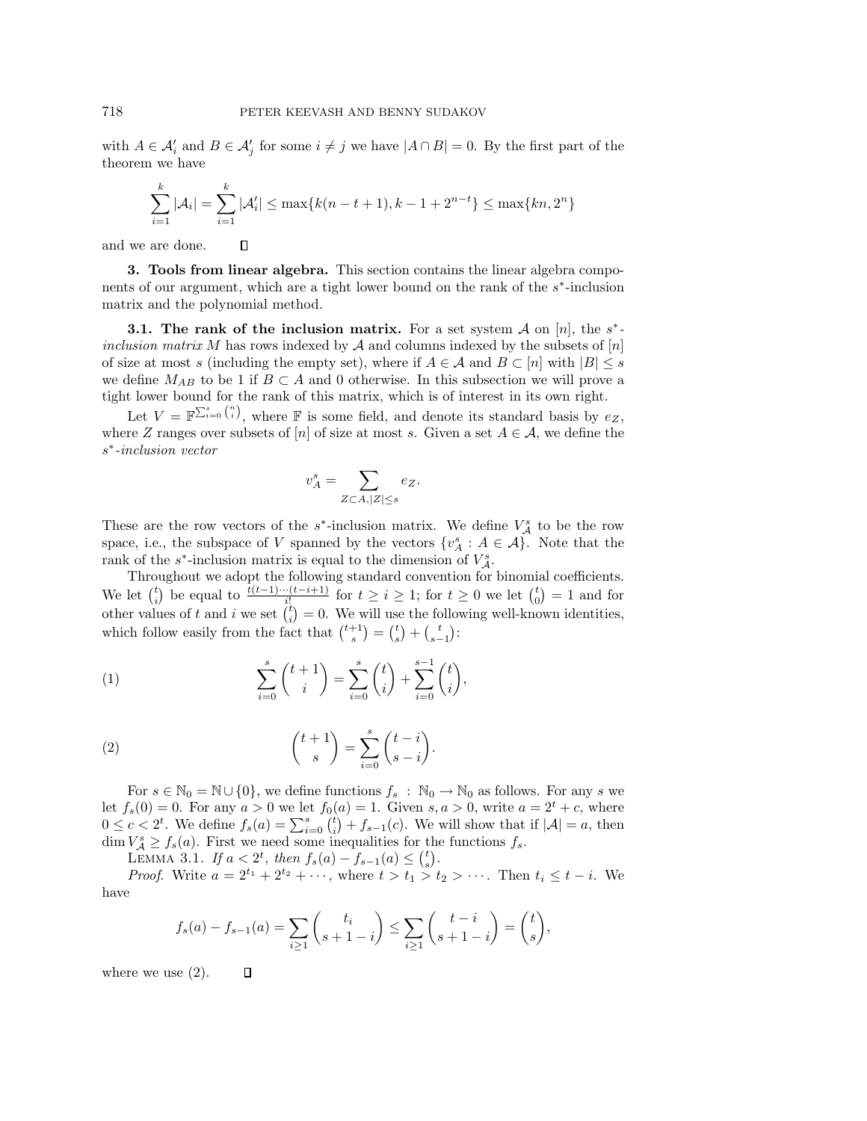with  $A \in \mathcal{A}'_i$  and  $B \in \mathcal{A}'_j$  for some  $i \neq j$  we have  $|A \cap B| = 0$ . By the first part of the theorem we have

$$
\sum_{i=1}^{k} |\mathcal{A}_i| = \sum_{i=1}^{k} |\mathcal{A}'_i| \le \max\{k(n-t+1), k-1+2^{n-t}\} \le \max\{kn, 2^n\}
$$

 $\Box$ and we are done.

**3. Tools from linear algebra.** This section contains the linear algebra components of our argument, which are a tight lower bound on the rank of the s∗-inclusion matrix and the polynomial method.

**3.1. The rank of the inclusion matrix.** For a set system  $\mathcal A$  on [n], the s<sup>\*</sup>inclusion matrix M has rows indexed by A and columns indexed by the subsets of  $[n]$ of size at most s (including the empty set), where if  $A \in \mathcal{A}$  and  $B \subset [n]$  with  $|B| \leq s$ we define  $M_{AB}$  to be 1 if  $B \subset A$  and 0 otherwise. In this subsection we will prove a tight lower bound for the rank of this matrix, which is of interest in its own right.

Let  $V = \mathbb{F}^{\sum_{i=0}^{s} {n \choose i}}$ , where  $\mathbb F$  is some field, and denote its standard basis by  $e_Z$ , where Z ranges over subsets of [n] of size at most s. Given a set  $A \in \mathcal{A}$ , we define the s∗-inclusion vector

$$
v_A^s = \sum_{Z \subset A, |Z| \le s} e_Z.
$$

These are the row vectors of the  $s^*$ -inclusion matrix. We define  $V_A^s$  to be the row space, i.e., the subspace of V spanned by the vectors  $\{v_A^s : A \in \mathcal{A}\}\)$ . Note that the rank of the  $s^*$ -inclusion matrix is equal to the dimension of  $V_A^s$ .

Throughout we adopt the following standard convention for binomial coefficients. We let  $\binom{t}{i}$  be equal to  $\frac{t(t-1)\cdots(t-i+1)}{i!}$  for  $t \geq i \geq 1$ ; for  $t \geq 0$  we let  $\binom{t}{0} = 1$  and for other values of t and i we set  $\binom{t}{i} = 0$ . We will use the following well-known identities, which follow easily from the fact that  $\binom{t+1}{s} = \binom{t}{s} + \binom{t}{s-1}$ :

(1) 
$$
\sum_{i=0}^{s} {t+1 \choose i} = \sum_{i=0}^{s} {t \choose i} + \sum_{i=0}^{s-1} {t \choose i},
$$

(2) 
$$
\binom{t+1}{s} = \sum_{i=0}^{s} \binom{t-i}{s-i}.
$$

For  $s \in \mathbb{N}_0 = \mathbb{N} \cup \{0\}$ , we define functions  $f_s : \mathbb{N}_0 \to \mathbb{N}_0$  as follows. For any s we let  $f_s(0) = 0$ . For any  $a > 0$  we let  $f_0(a) = 1$ . Given  $s, a > 0$ , write  $a = 2<sup>t</sup> + c$ , where  $0 \leq c < 2^t$ . We define  $f_s(a) = \sum_{i=0}^s {t \choose i} + f_{s-1}(c)$ . We will show that if  $|\mathcal{A}| = a$ , then  $\dim V^s_{\mathcal{A}} \geq f_s(a)$ . First we need some inequalities for the functions  $f_s$ .

LEMMA 3.1. If  $a < 2^t$ , then  $f_s(a) - f_{s-1}(a) \leq {t \choose s}$ .

*Proof.* Write  $a = 2^{t_1} + 2^{t_2} + \cdots$ , where  $t > t_1 > t_2 > \cdots$ . Then  $t_i \leq t - i$ . We have

$$
f_s(a) - f_{s-1}(a) = \sum_{i \ge 1} {t_i \choose s+1-i} \le \sum_{i \ge 1} {t-i \choose s+1-i} = {t \choose s},
$$

where we use  $(2)$ .  $\Box$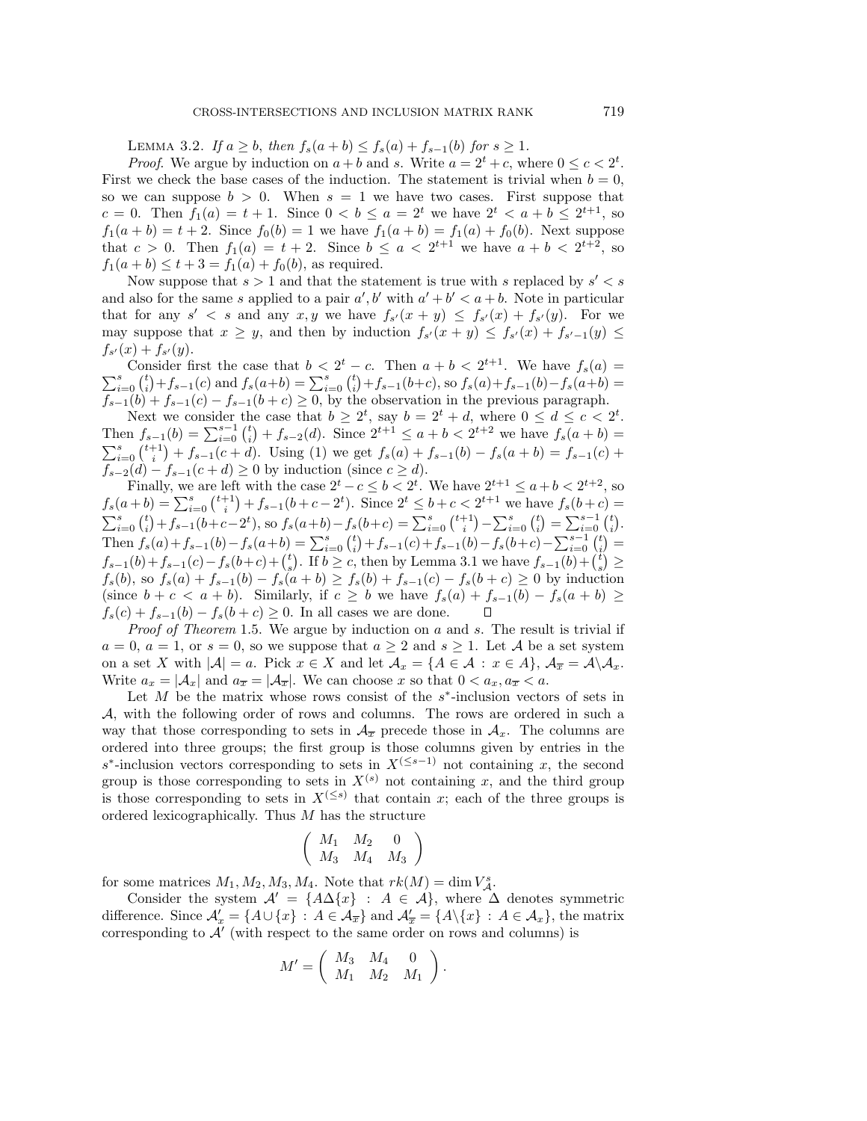LEMMA 3.2. If  $a \ge b$ , then  $f_s(a + b) \le f_s(a) + f_{s-1}(b)$  for  $s \ge 1$ .

*Proof.* We argue by induction on  $a + b$  and s. Write  $a = 2^t + c$ , where  $0 \leq c < 2^t$ . First we check the base cases of the induction. The statement is trivial when  $b = 0$ , so we can suppose  $b > 0$ . When  $s = 1$  we have two cases. First suppose that c = 0. Then  $f_1(a) = t + 1$ . Since  $0 < b \le a = 2^t$  we have  $2^t < a + b \le 2^{t+1}$ , so  $f_1(a + b) = t + 2$ . Since  $f_0(b) = 1$  we have  $f_1(a + b) = f_1(a) + f_0(b)$ . Next suppose that  $c > 0$ . Then  $f_1(a) = t + 2$ . Since  $b \le a < 2^{t+1}$  we have  $a + b < 2^{t+2}$ , so  $f_1(a + b) \le t + 3 = f_1(a) + f_0(b)$ , as required.

Now suppose that  $s > 1$  and that the statement is true with s replaced by  $s' < s$ and also for the same s applied to a pair  $a', b'$  with  $a' + b' < a + b$ . Note in particular that for any  $s' < s$  and any  $x, y$  we have  $f_{s'}(x + y) \leq f_{s'}(x) + f_{s'}(y)$ . For we may suppose that  $x \geq y$ , and then by induction  $f_{s'}(x+y) \leq f_{s'}(x) + f_{s'-1}(y) \leq$  $f_{s'}(x) + f_{s'}(y).$ 

Consider first the case that  $b < 2^t - c$ . Then  $a + b < 2^{t+1}$ . We have  $f_s(a) =$ <br>  $s = (t) + f_s$  (c) and  $f_s(a+h)$   $\sum_s^{s} (t) + f_s$  (k) and  $f_s(a) + f_s$  (c)  $f_s(a+h)$  $\sum_{i=0}^{s} {t \choose i} + f_{s-1}(c)$  and  $f_s(a+b) = \sum_{i=0}^{s} {t \choose i} + f_{s-1}(b+c)$ , so  $f_s(a) + f_{s-1}(b) - f_s(a+b) =$  $f_{s-1}(b) + f_{s-1}(c) - f_{s-1}(b+c) \ge 0$ , by the observation in the previous paragraph.

Next we consider the case that  $b \geq 2^t$ , say  $b = 2^t + d$ , where  $0 \leq d \leq c < 2^t$ . Then  $f_{s-1}(b) = \sum_{i=0}^{s-1} {t \choose i} + f_{s-2}(d)$ . Since  $2^{t+1} \le a+b < 2^{t+2}$  we have  $f_s(a+b) =$  $\sum_{i=0}^{s} {t+1 \choose i} + f_{s-1}(c+d)$ . Using (1) we get  $f_s(a) + f_{s-1}(b) - f_s(a+b) = f_{s-1}(c) +$  $f_{s-2}(d) - f_{s-1}(c+d) \ge 0$  by induction (since  $c \ge d$ ).

Finally, we are left with the case  $2^t - c \leq b < 2^t$ . We have  $2^{t+1} \leq a + b < 2^{t+2}$ , so  $f_s(a+b) = \sum_{i=0}^s {\binom{t+1}{i}} + f_{s-1}(b+c-2^t)$ . Since  $2^t \leq b+c < 2^{t+1}$  we have  $f_s(b+c)$  $\sum_{i=0}^{s} {t \choose i} + f_{s-1}(b+c-2^{t}),$  so  $f_{s}(a+b) - f_{s}(b+c) = \sum_{i=0}^{s} {t+1 \choose i} - \sum_{i=0}^{s} {t \choose i} = \sum_{i=0}^{s-1} {t \choose i}.$ Then  $f_s(a)+f_{s-1}(b)-f_s(a+b) = \sum_{i=0}^s {t \choose i}+f_{s-1}(c)+f_{s-1}(b)-f_s(b+c)-\sum_{i=0}^{s-1} {t \choose i}$  $f_{s-1}(b) + f_{s-1}(c) - f_s(b+c) + {t \choose s}$ . If  $b \geq c$ , then by Lemma 3.1 we have  $f_{s-1}(b) + {t \choose s} \geq$  $f_s(b)$ , so  $f_s(a) + f_{s-1}(b) - f_s(a+b) \ge f_s(b) + f_{s-1}(c) - f_s(b+c) \ge 0$  by induction (since  $b + c < a + b$ ). Similarly, if  $c \geq b$  we have  $f_s(a) + f_{s-1}(b) - f_s(a + b) \geq$  $f_s(c) + f_{s-1}(b) - f_s(b+c) \ge 0$ . In all cases we are done.

*Proof of Theorem* 1.5. We argue by induction on  $a$  and  $s$ . The result is trivial if  $a = 0, a = 1$ , or  $s = 0$ , so we suppose that  $a \geq 2$  and  $s \geq 1$ . Let A be a set system on a set X with  $|\mathcal{A}| = a$ . Pick  $x \in X$  and let  $\mathcal{A}_x = \{A \in \mathcal{A} : x \in A\}$ ,  $\mathcal{A}_{\overline{x}} = \mathcal{A} \setminus \mathcal{A}_x$ . Write  $a_x = |\mathcal{A}_x|$  and  $a_{\overline{x}} = |\mathcal{A}_{\overline{x}}|$ . We can choose x so that  $0 < a_x, a_{\overline{x}} < a$ .

Let M be the matrix whose rows consist of the  $s^*$ -inclusion vectors of sets in A, with the following order of rows and columns. The rows are ordered in such a way that those corresponding to sets in  $\mathcal{A}_{\overline{x}}$  precede those in  $\mathcal{A}_x$ . The columns are ordered into three groups; the first group is those columns given by entries in the s<sup>\*</sup>-inclusion vectors corresponding to sets in  $X^{(\leq s-1)}$  not containing x, the second group is those corresponding to sets in  $X^{(s)}$  not containing x, and the third group is those corresponding to sets in  $X^{(\leq s)}$  that contain x; each of the three groups is ordered lexicographically. Thus M has the structure

$$
\left(\begin{array}{ccc} M_1 & M_2 & 0 \\ M_3 & M_4 & M_3 \end{array}\right)
$$

for some matrices  $M_1, M_2, M_3, M_4$ . Note that  $rk(M) = \dim V_A^s$ .

Consider the system  $A' = \{A\Delta\{x\} : A \in \mathcal{A}\}\$ , where  $\Delta$  denotes symmetric difference. Since  $\mathcal{A}'_x = \{ A \cup \{x\} : A \in \mathcal{A}_{\overline{x}} \}$  and  $\mathcal{A}'_{\overline{x}} = \{ A \setminus \{x\} : A \in \mathcal{A}_x \}$ , the matrix corresponding to  $\mathcal{A}'$  (with respect to the same order on rows and columns) is

$$
M' = \left( \begin{array}{cc} M_3 & M_4 & 0 \\ M_1 & M_2 & M_1 \end{array} \right).
$$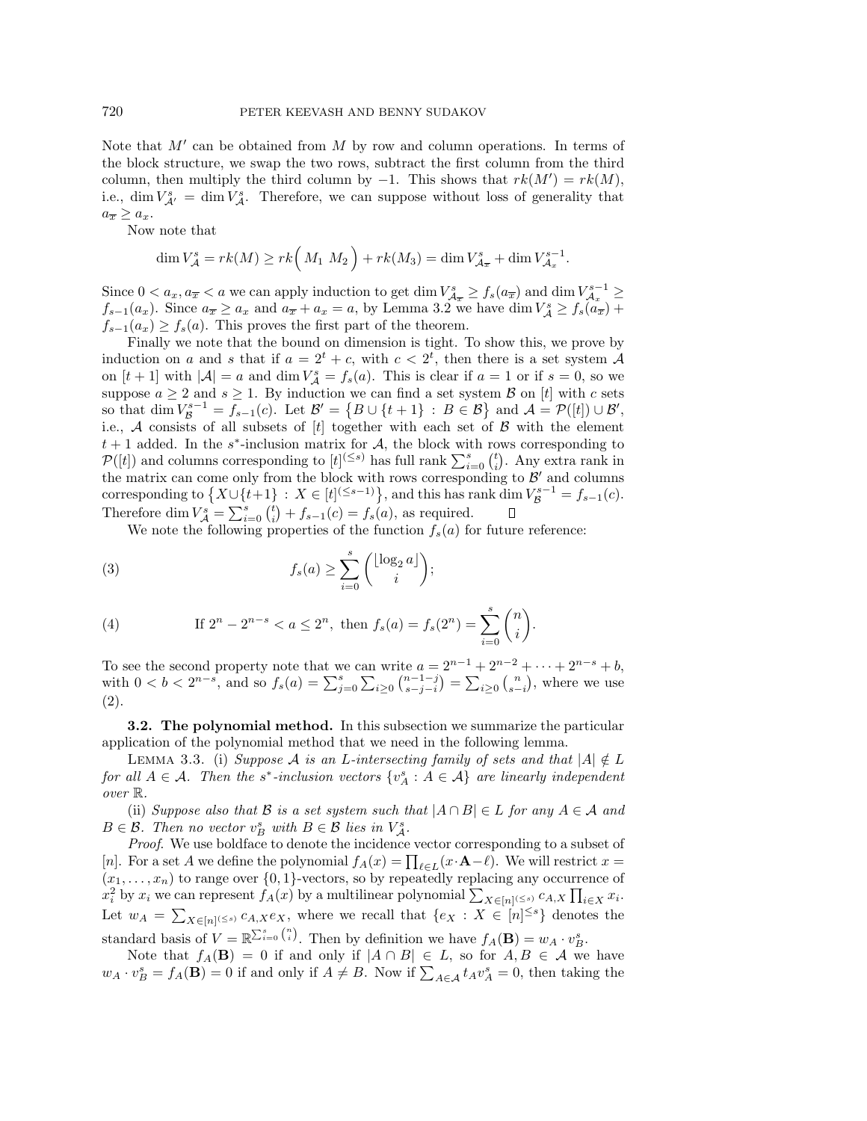Note that  $M'$  can be obtained from M by row and column operations. In terms of the block structure, we swap the two rows, subtract the first column from the third column, then multiply the third column by  $-1$ . This shows that  $rk(M') = rk(M)$ , i.e.,  $\dim V^s_{\mathcal{A}'} = \dim V^s_{\mathcal{A}}$ . Therefore, we can suppose without loss of generality that  $a_{\overline{x}} \geq a_x.$ 

Now note that

$$
\dim V^s_{\mathcal{A}} = rk(M) \geq rk\Big(M_1\ M_2\Big) + rk(M_3) = \dim V^s_{\mathcal{A}_{\overline{x}}} + \dim V^{s-1}_{\mathcal{A}_{x}}.
$$

Since  $0 < a_x, a_{\overline{x}} < a$  we can apply induction to get dim  $V_{\mathcal{A}_{\overline{x}}}^s \ge f_s(a_{\overline{x}})$  and dim  $V_{\mathcal{A}_{x}}^{s-1} \ge$  $f_{s-1}(a_x)$ . Since  $a_{\overline{x}} \ge a_x$  and  $a_{\overline{x}} + a_x = a$ , by Lemma 3.2 we have dim  $V^s_{\mathcal{A}} \ge f_s(a_{\overline{x}}) + a_{\overline{x}}$  $f_{s-1}(a_x) \ge f_s(a)$ . This proves the first part of the theorem.

Finally we note that the bound on dimension is tight. To show this, we prove by induction on a and s that if  $a = 2^t + c$ , with  $c < 2^t$ , then there is a set system A on  $[t+1]$  with  $|\mathcal{A}| = a$  and dim  $V_{\mathcal{A}}^s = f_s(a)$ . This is clear if  $a = 1$  or if  $s = 0$ , so we suppose  $a \geq 2$  and  $s \geq 1$ . By induction we can find a set system  $\beta$  on [t] with c sets so that dim  $V_{\mathcal{B}}^{s-1} = f_{s-1}(c)$ . Let  $\mathcal{B}' = \{B \cup \{t+1\} : B \in \mathcal{B}\}$  and  $\mathcal{A} = \mathcal{P}([t]) \cup \mathcal{B}'$ , i.e.,  $A$  consists of all subsets of  $[t]$  together with each set of  $B$  with the element  $t + 1$  added. In the s<sup>\*</sup>-inclusion matrix for A, the block with rows corresponding to  $\mathcal{P}([t])$  and columns corresponding to  $[t]^{(\leq s)}$  has full rank  $\sum_{i=0}^{s} {t \choose i}$ . Any extra rank in the matrix can come only from the block with rows corresponding to  $\mathcal{B}'$  and columns corresponding to  $\{X \cup \{t+1\} : X \in [t]^{(\leq s-1)}\}$ , and this has rank dim  $V_{\mathcal{B}}^{s-1} = f_{s-1}(c)$ . Therefore dim  $V_A^s = \sum_{i=0}^s {t \choose i} + f_{s-1}(c) = f_s(a)$ , as required.

We note the following properties of the function  $f_s(a)$  for future reference:

(3) 
$$
f_s(a) \geq \sum_{i=0}^s \binom{\lfloor \log_2 a \rfloor}{i};
$$

(4) If 
$$
2^n - 2^{n-s} < a \le 2^n
$$
, then  $f_s(a) = f_s(2^n) = \sum_{i=0}^s {n \choose i}$ .

To see the second property note that we can write  $a = 2^{n-1} + 2^{n-2} + \cdots + 2^{n-s} + b$ , with  $0 < b < 2^{n-s}$ , and so  $f_s(a) = \sum_{j=0}^s \sum_{i \geq 0} {n-1-j \choose s-j-i} = \sum_{i \geq 0} {n \choose s-i}$ , where we use (2).

**3.2. The polynomial method.** In this subsection we summarize the particular application of the polynomial method that we need in the following lemma.

LEMMA 3.3. (i) Suppose A is an L-intersecting family of sets and that  $|A| \notin L$ for all  $A \in \mathcal{A}$ . Then the s<sup>\*</sup>-inclusion vectors  $\{v_A^s : A \in \mathcal{A}\}\$ are linearly independent over R.

(ii) Suppose also that B is a set system such that  $|A \cap B| \in L$  for any  $A \in \mathcal{A}$  and  $B \in \mathcal{B}$ . Then no vector  $v_B^s$  with  $B \in \mathcal{B}$  lies in  $V_A^s$ .

Proof. We use boldface to denote the incidence vector corresponding to a subset of [n]. For a set A we define the polynomial  $f_A(x) = \prod_{\ell \in L} (x \cdot \mathbf{A} - \ell)$ . We will restrict  $x =$  $(x_1,...,x_n)$  to range over  $\{0,1\}$ -vectors, so by repeatedly replacing any occurrence of  $x_i^2$  by  $x_i$  we can represent  $f_A(x)$  by a multilinear polynomial  $\sum_{X \in [n] \le s} c_{A,X} \prod_{i \in X} x_i$ . Let  $w_A = \sum_{X \in [n]^{(\leq s)}} c_{A,X} e_X$ , where we recall that  $\{e_X : X \in [n]^{\leq s}\}\$  denotes the standard basis of  $V = \mathbb{R}^{\sum_{i=0}^{s} {n \choose i}}$ . Then by definition we have  $f_A(\mathbf{B}) = w_A \cdot v_B^s$ .

Note that  $f_A(\mathbf{B}) = 0$  if and only if  $|A \cap B| \in L$ , so for  $A, B \in \mathcal{A}$  we have  $w_A \cdot v_B^s = f_A(\mathbf{B}) = 0$  if and only if  $A \neq B$ . Now if  $\sum_{A \in \mathcal{A}} t_A v_A^s = 0$ , then taking the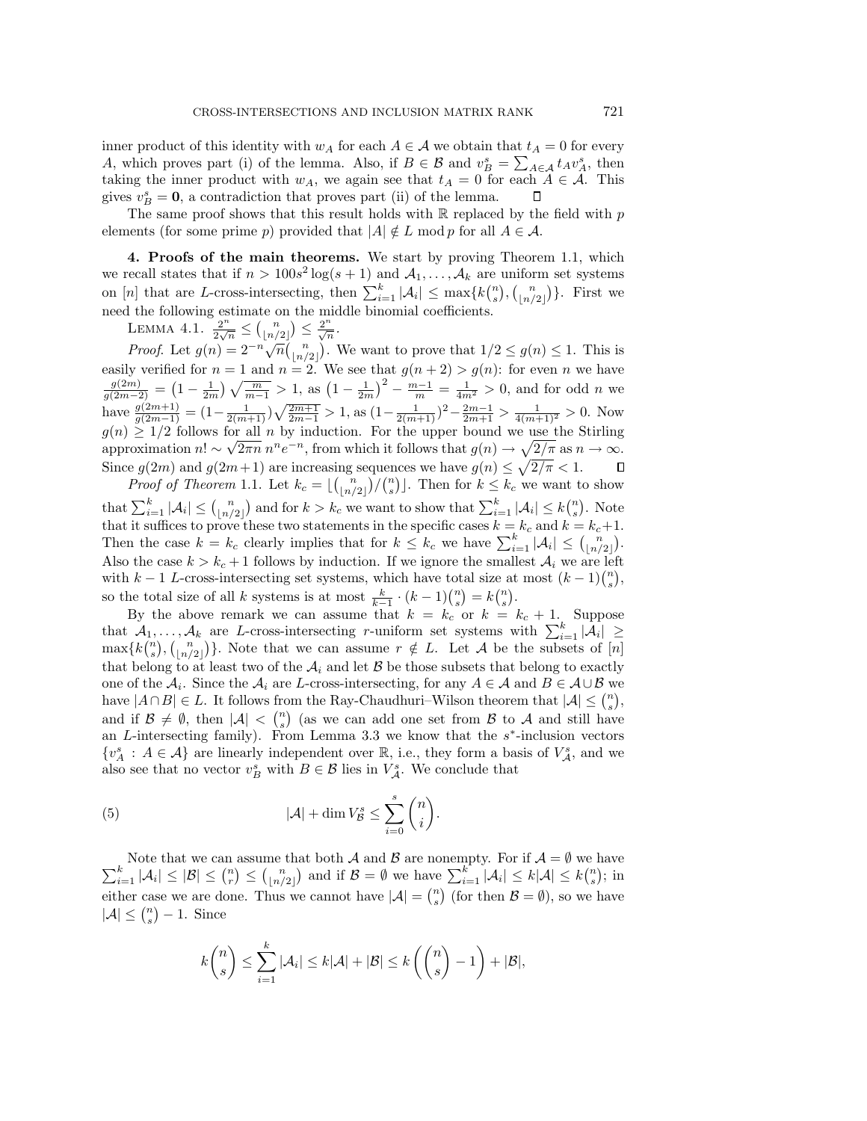inner product of this identity with  $w_A$  for each  $A \in \mathcal{A}$  we obtain that  $t_A = 0$  for every A, which proves part (i) of the lemma. Also, if  $B \in \mathcal{B}$  and  $v_B^s = \sum_{A \in \mathcal{A}} t_A v_A^s$ , then taking the inner product with  $w_A$ , we again see that  $t_A = 0$  for each  $A \in \mathcal{A}$ . This gives  $v_B^s = 0$ , a contradiction that proves part (ii) of the lemma.

The same proof shows that this result holds with  $\mathbb R$  replaced by the field with p elements (for some prime p) provided that  $|A| \notin L \text{ mod } p$  for all  $A \in \mathcal{A}$ .

**4. Proofs of the main theorems.** We start by proving Theorem 1.1, which we recall states that if  $n > 100s^2 \log(s + 1)$  and  $\mathcal{A}_1, \ldots, \mathcal{A}_k$  are uniform set systems on [n] that are L-cross-intersecting, then  $\sum_{i=1}^{k} |\mathcal{A}_i| \leq \max\{k {n \choose s}, {n \choose \lfloor n/2 \rfloor}\}.$  First we need the following estimate on the middle binomial coefficients.

LEMMA 4.1.  $\frac{2^n}{2\sqrt{n}} \leq {n \choose \lfloor n/2 \rfloor} \leq \frac{2^n}{\sqrt{n}}$ .

Proof. Let  $g(n) = 2^{-n} \sqrt{n} {n \choose \lfloor n/2 \rfloor}$ . We want to prove that  $1/2 \le g(n) \le 1$ . This is easily verified for  $n = 1$  and  $n = 2$ . We see that  $g(n+2) > g(n)$ : for even n we have  $\frac{g(2m)}{g(2m-2)} = \left(1 - \frac{1}{2m}\right)\sqrt{\frac{m}{m-1}} > 1$ , as  $\left(1 - \frac{1}{2m}\right)^2 - \frac{m-1}{m} = \frac{1}{4m^2} > 0$ , and for odd *n* we have  $\frac{g(2m+1)}{g(2m-1)} = \left(1 - \frac{1}{2(m+1)}\right)\sqrt{\frac{2m+1}{2m-1}} > 1$ , as  $\left(1 - \frac{1}{2(m+1)}\right)^2 - \frac{2m-1}{2m+1} > \frac{1}{4(m+1)^2} > 0$ . Now  $g(n) \geq 1/2$  follows for all n by induction. For the upper bound we use the Stirling approximation  $n! \sim \sqrt{2\pi n} n^n e^{-n}$ , from which it follows that  $g(n) \to \sqrt{2/\pi}$  as  $n \to \infty$ . Since  $g(2m)$  and  $g(2m+1)$  are increasing sequences we have  $g(n) \leq \sqrt{2/\pi} < 1$ .  $\Box$ 

*Proof of Theorem* 1.1. Let  $k_c = \lfloor {n \choose \lfloor n/2 \rfloor} / {n \choose s} \rfloor$ . Then for  $k \leq k_c$  we want to show that  $\sum_{i=1}^k |\mathcal{A}_i| \leq {n \choose \lfloor n/2 \rfloor}$  and for  $k > k_c$  we want to show that  $\sum_{i=1}^k |\mathcal{A}_i| \leq k {n \choose s}$ . Note that it suffices to prove these two statements in the specific cases  $k = k_c$  and  $k = k_c+1$ . Then the case  $k = k_c$  clearly implies that for  $k \leq k_c$  we have  $\sum_{i=1}^{k} |\mathcal{A}_i| \leq {n \choose \lfloor n/2 \rfloor}$ . Also the case  $k > k_c + 1$  follows by induction. If we ignore the smallest  $A_i$  we are left with k − 1 L-cross-intersecting set systems, which have total size at most  $(k-1) {n \choose s}$ , so the total size of all k systems is at most  $\frac{k}{k-1} \cdot (k-1) \binom{n}{s} = k \binom{n}{s}$ .

By the above remark we can assume that  $k = k_c$  or  $k = k_c + 1$ . Suppose that  $A_1, \ldots, A_k$  are L-cross-intersecting r-uniform set systems with  $\sum_{i=1}^k |A_i| \geq$  $\max\{k\binom{n}{s}, \binom{n}{\lfloor n/2 \rfloor}\}\.$  Note that we can assume  $r \notin L$ . Let A be the subsets of  $[n]$ that belong to at least two of the  $A_i$  and let  $B$  be those subsets that belong to exactly one of the  $\mathcal{A}_i$ . Since the  $\mathcal{A}_i$  are L-cross-intersecting, for any  $A \in \mathcal{A}$  and  $B \in \mathcal{A} \cup \mathcal{B}$  we have  $|A \cap B| \in L$ . It follows from the Ray-Chaudhuri–Wilson theorem that  $|A| \leq {n \choose s}$ , and if  $\mathcal{B} \neq \emptyset$ , then  $|\mathcal{A}| \leq {n \choose s}$  (as we can add one set from  $\mathcal{B}$  to  $\mathcal{A}$  and still have an L-intersecting family). From Lemma 3.3 we know that the  $s^*$ -inclusion vectors  $\{v_A^s : A \in \mathcal{A}\}\$ are linearly independent over  $\mathbb{R}$ , i.e., they form a basis of  $V_A^s$ , and we also see that no vector  $v_B^s$  with  $B \in \mathcal{B}$  lies in  $V_A^s$ . We conclude that

(5) 
$$
|\mathcal{A}| + \dim V_{\mathcal{B}}^s \le \sum_{i=0}^s \binom{n}{i}.
$$

 $\sum$ Note that we can assume that both A and B are nonempty. For if  $A = \emptyset$  we have  $\sum_{i=1}^{k} |\mathcal{A}_i| \leq |\mathcal{B}| \leq {n \choose r} \leq {n \choose \lfloor n/2 \rfloor}$  and if  $\mathcal{B} = \emptyset$  we have  $\sum_{i=1}^{k} |\mathcal{A}_i| \leq k|\mathcal{A}| \leq k {n \choose s}$ ; in either case we are done. Thus we cannot have  $|\mathcal{A}| = {n \choose s}$  (for then  $\mathcal{B} = \emptyset$ ), so we have  $|\mathcal{A}| \leq {n \choose s} - 1$ . Since

$$
k\binom{n}{s} \leq \sum_{i=1}^k |\mathcal{A}_i| \leq k|\mathcal{A}| + |\mathcal{B}| \leq k\left(\binom{n}{s} - 1\right) + |\mathcal{B}|,
$$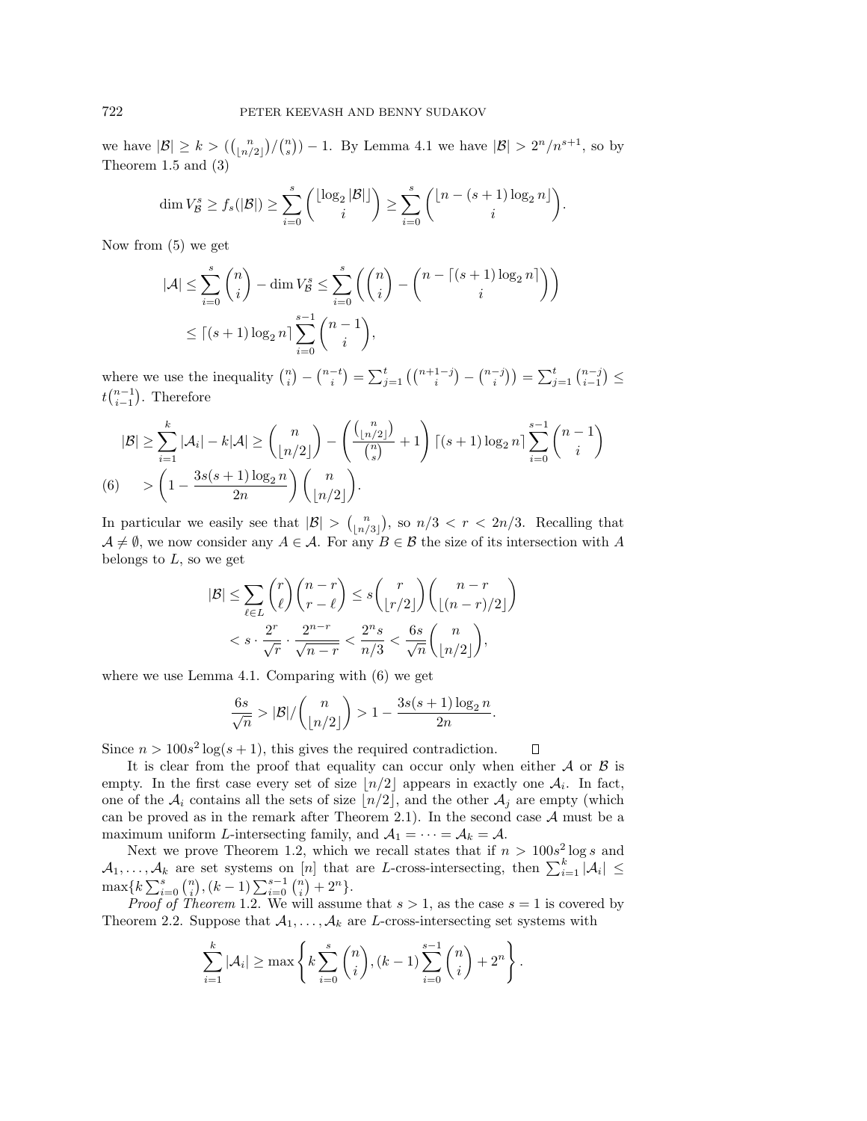we have  $|\mathcal{B}| \geq k > \left( {n \choose \lfloor n/2 \rfloor}/{n \choose s} \right) - 1$ . By Lemma 4.1 we have  $|\mathcal{B}| > 2^n/n^{s+1}$ , so by Theorem 1.5 and (3)

$$
\dim V_{\mathcal{B}}^s \geq f_s(|\mathcal{B}|) \geq \sum_{i=0}^s {\binom{\lfloor \log_2 |\mathcal{B}| \rfloor}{i}} \geq \sum_{i=0}^s {\binom{\lfloor n-(s+1)\log_2 n \rfloor}{i}}.
$$

Now from (5) we get

$$
|\mathcal{A}| \le \sum_{i=0}^{s} {n \choose i} - \dim V_{\mathcal{B}}^{s} \le \sum_{i=0}^{s} {n \choose i} - {n - \lceil (s+1) \log_2 n \rceil \choose i}
$$
  

$$
\le \lceil (s+1) \log_2 n \rceil \sum_{i=0}^{s-1} {n-1 \choose i},
$$

where we use the inequality  $\binom{n}{i} - \binom{n-t}{i} = \sum_{j=1}^{t} \left( \binom{n+1-j}{i} - \binom{n-j}{i} \right) = \sum_{j=1}^{t} \binom{n-j}{i-1} \le$  $tbinom{n-1}{i-1}$ . Therefore

$$
|\mathcal{B}| \geq \sum_{i=1}^{k} |\mathcal{A}_i| - k|\mathcal{A}| \geq {n \choose \lfloor n/2 \rfloor} - \left(\frac{{n \choose \lfloor n/2 \rfloor}}{\binom{n}{s}} + 1\right) \lceil (s+1) \log_2 n \rceil \sum_{i=0}^{s-1} {n-1 \choose i}
$$
  
(6) 
$$
> \left(1 - \frac{3s(s+1) \log_2 n}{2n}\right) {n \choose \lfloor n/2 \rfloor}.
$$

In particular we easily see that  $|B| > {\binom{n}{\lfloor n/3 \rfloor}}$ , so  $n/3 < r < 2n/3$ . Recalling that  $A \neq \emptyset$ , we now consider any  $A \in \mathcal{A}$ . For any  $B \in \mathcal{B}$  the size of its intersection with A belongs to  $L$ , so we get

$$
|\mathcal{B}| \leq \sum_{\ell \in L} {r \choose \ell} {n-r \choose r-\ell} \leq s {r \choose \lfloor r/2 \rfloor} {n-r \choose \lfloor (n-r)/2 \rfloor}
$$
  

$$
< s \cdot \frac{2^r}{\sqrt{r}} \cdot \frac{2^{n-r}}{\sqrt{n-r}} < \frac{2^n s}{n/3} < \frac{6s}{\sqrt{n}} {n \choose \lfloor n/2 \rfloor},
$$

where we use Lemma 4.1. Comparing with (6) we get

$$
\frac{6s}{\sqrt{n}} > |\mathcal{B}| / \binom{n}{\lfloor n/2 \rfloor} > 1 - \frac{3s(s+1)\log_2 n}{2n}.
$$

О

Since  $n > 100s<sup>2</sup> \log(s + 1)$ , this gives the required contradiction.

It is clear from the proof that equality can occur only when either  $A$  or  $B$  is empty. In the first case every set of size  $\lfloor n/2 \rfloor$  appears in exactly one  $A_i$ . In fact, one of the  $A_i$  contains all the sets of size  $\lfloor n/2 \rfloor$ , and the other  $A_j$  are empty (which can be proved as in the remark after Theorem 2.1). In the second case  $A$  must be a maximum uniform L-intersecting family, and  $A_1 = \cdots = A_k = A$ .

Next we prove Theorem 1.2, which we recall states that if  $n > 100s<sup>2</sup> \log s$  and  $A_1,\ldots,A_k$  are set systems on [n] that are L-cross-intersecting, then  $\sum_{i=1}^k |\mathcal{A}_i| \leq$  $\max\{k\sum_{i=0}^{s} {n \choose i}, (k-1)\sum_{i=0}^{s-1} {n \choose i} + 2^{n}\}.$ 

*Proof of Theorem* 1.2. We will assume that  $s > 1$ , as the case  $s = 1$  is covered by Theorem 2.2. Suppose that  $A_1, \ldots, A_k$  are L-cross-intersecting set systems with

$$
\sum_{i=1}^{k} |\mathcal{A}_i| \ge \max\left\{ k \sum_{i=0}^{s} {n \choose i}, (k-1) \sum_{i=0}^{s-1} {n \choose i} + 2^n \right\}.
$$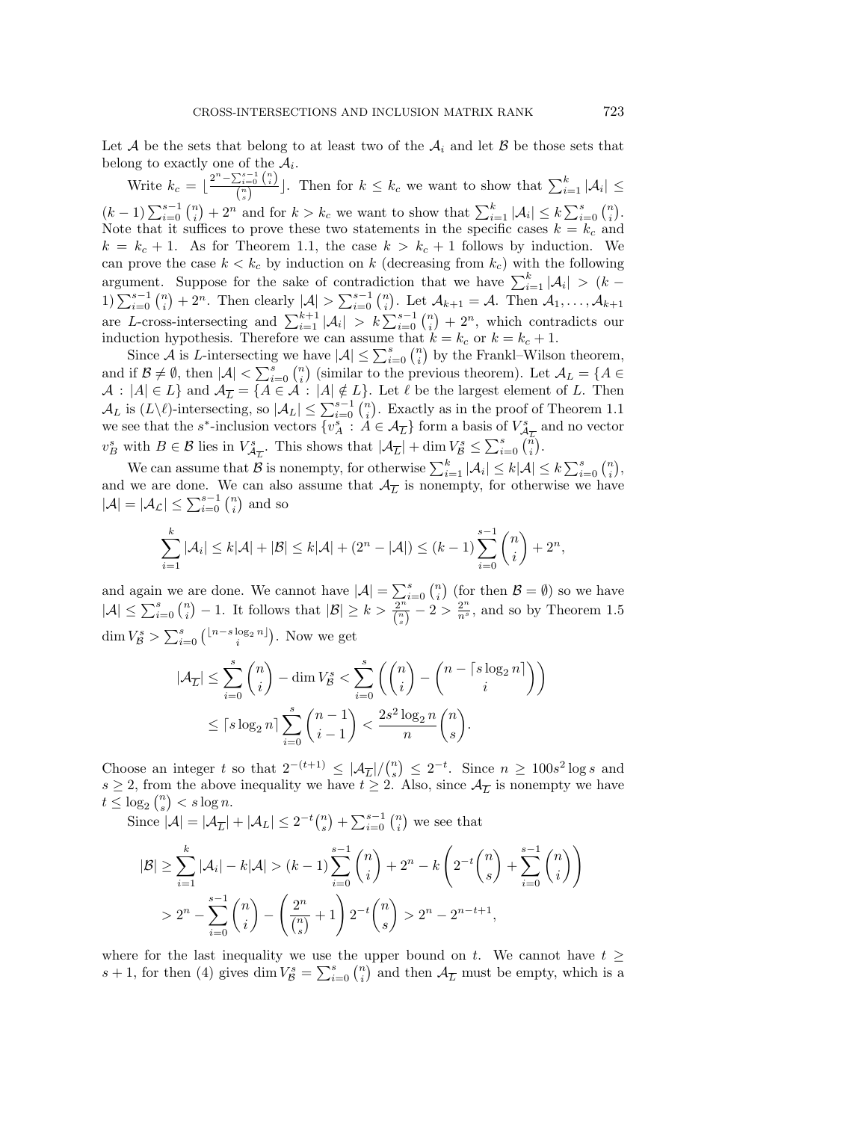Let A be the sets that belong to at least two of the  $A_i$  and let B be those sets that belong to exactly one of the  $A_i$ .

Write  $k_c = \lfloor \frac{2^n - \sum_{i=0}^{s-1} {n \choose i}}{n} \rfloor$  $\left[\frac{\sum_{i=0}^{k} {n \choose i}}{\binom{n}{s}}\right]$ . Then for  $k \leq k_c$  we want to show that  $\sum_{i=1}^{k} |\mathcal{A}_i| \leq$  $(k-1)\sum_{i=0}^{s-1} {n \choose i} + 2^n$  and for  $k > k_c$  we want to show that  $\sum_{i=1}^{k} |\mathcal{A}_i| \leq k \sum_{i=0}^{s} {n \choose i}$ . Note that it suffices to prove these two statements in the specific cases  $k = k_c$  and  $k = k_c + 1$ . As for Theorem 1.1, the case  $k > k_c + 1$  follows by induction. We can prove the case  $k < k_c$  by induction on k (decreasing from  $k_c$ ) with the following argument. Suppose for the sake of contradiction that we have  $\sum_{i=1}^{k} |\mathcal{A}_i| > (k -$ 1) $\sum_{i=0}^{s-1} {n \choose i} + 2^n$ . Then clearly  $|\mathcal{A}| > \sum_{i=0}^{s-1} {n \choose i}$ . Let  $\mathcal{A}_{k+1} = \mathcal{A}$ . Then  $\mathcal{A}_1, \ldots, \mathcal{A}_{k+1}$ are L-cross-intersecting and  $\sum_{i=1}^{k+1} |\mathcal{A}_i| > k \sum_{i=0}^{s-1} {n \choose i} + 2^n$ , which contradicts our induction hypothesis. Therefore we can assume that  $k = k_c$  or  $k = k_c + 1$ .

Since  $\mathcal A$  is L-intersecting we have  $|\mathcal A|\leq \sum_{i=0}^s{n\choose i}$  by the Frankl–Wilson theorem, and if  $\mathcal{B} \neq \emptyset$ , then  $|\mathcal{A}| < \sum_{i=0}^{s} {n \choose i}$  (similar to the previous theorem). Let  $\mathcal{A}_L = \{A \in$  $A : |A| \in L$  and  $A_{\overline{L}} = \{A \in \mathcal{A} : |A| \notin L\}$ . Let  $\ell$  be the largest element of L. Then  $\mathcal{A}_L$  is  $(L\setminus\ell)$ -intersecting, so  $|\mathcal{A}_L| \leq \sum_{i=0}^{s-1} {n \choose i}$ . Exactly as in the proof of Theorem 1.1 we see that the s<sup>\*</sup>-inclusion vectors  $\{v_A^s : A \in \mathcal{A}_{\overline{L}}\}$  form a basis of  $V_{\mathcal{A}_{\overline{L}}^s}^s$  and no vector  $v_B^s$  with  $B \in \mathcal{B}$  lies in  $V_{\mathcal{A}_{\overline{L}}}^s$ . This shows that  $|\mathcal{A}_{\overline{L}}| + \dim V_{\mathcal{B}}^s \leq \sum_{i=0}^s \binom{n}{i}$ .

We can assume that  $\mathcal B$  is nonempty, for otherwise  $\sum_{i=1}^k |\mathcal A_i| \leq k |\mathcal A| \leq k \sum_{i=0}^s {n \choose i}$ , and we are done. We can also assume that  $\mathcal{A}_{\overline{L}}$  is nonempty, for otherwise we have  $|\mathcal{A}| = |\mathcal{A}_{\mathcal{L}}| \le \sum_{i=0}^{s-1} {n \choose i}$  and so

$$
\sum_{i=1}^{k} |\mathcal{A}_i| \le k|\mathcal{A}| + |\mathcal{B}| \le k|\mathcal{A}| + (2^n - |\mathcal{A}|) \le (k - 1) \sum_{i=0}^{s-1} \binom{n}{i} + 2^n,
$$

and again we are done. We cannot have  $|\mathcal{A}| = \sum_{i=0}^{s} {n \choose i}$  (for then  $\mathcal{B} = \emptyset$ ) so we have  $|\mathcal{A}| \leq \sum_{i=0}^{s} {n \choose i} - 1$ . It follows that  $|\mathcal{B}| \geq k > \frac{2^n}{\binom{n}{s}} - 2 > \frac{2^n}{n^s}$ , and so by Theorem 1.5 dim  $V_{\mathcal{B}}^{s} > \sum_{i=0}^{s} {\binom{\lfloor n-s\log_2 n\rfloor}{i}}$ . Now we get

$$
|\mathcal{A}_{\overline{L}}| \le \sum_{i=0}^s \binom{n}{i} - \dim V^s_{\mathcal{B}} < \sum_{i=0}^s \left( \binom{n}{i} - \binom{n - \lceil s \log_2 n \rceil}{i} \right)
$$
  

$$
\le \lceil s \log_2 n \rceil \sum_{i=0}^s \binom{n-1}{i-1} < \frac{2s^2 \log_2 n}{n} \binom{n}{s}.
$$

Choose an integer t so that  $2^{-(t+1)} \leq |\mathcal{A}_{\overline{L}}|/{\binom{n}{s}} \leq 2^{-t}$ . Since  $n \geq 100s^2 \log s$  and  $s \geq 2$ , from the above inequality we have  $t \geq 2$ . Also, since  $\mathcal{A}_{\overline{L}}$  is nonempty we have  $t \leq \log_2 {n \choose s} < s \log n.$ 

Since  $|A| = |A_{\overline{L}}| + |A_L| \leq 2^{-t} {n \choose s} + \sum_{i=0}^{s-1} {n \choose i}$  we see that

$$
|\mathcal{B}| \geq \sum_{i=1}^{k} |\mathcal{A}_i| - k|\mathcal{A}| > (k-1) \sum_{i=0}^{s-1} {n \choose i} + 2^n - k \left( 2^{-t} {n \choose s} + \sum_{i=0}^{s-1} {n \choose i} \right)
$$
  
> 
$$
2^n - \sum_{i=0}^{s-1} {n \choose i} - \left( \frac{2^n}{n} + 1 \right) 2^{-t} {n \choose s} > 2^n - 2^{n-t+1},
$$

where for the last inequality we use the upper bound on t. We cannot have  $t \geq$  $s+1$ , for then (4) gives  $\dim V^s_{\mathcal{B}} = \sum_{i=0}^s \binom{n}{i}$  and then  $\mathcal{A}_{\overline{L}}$  must be empty, which is a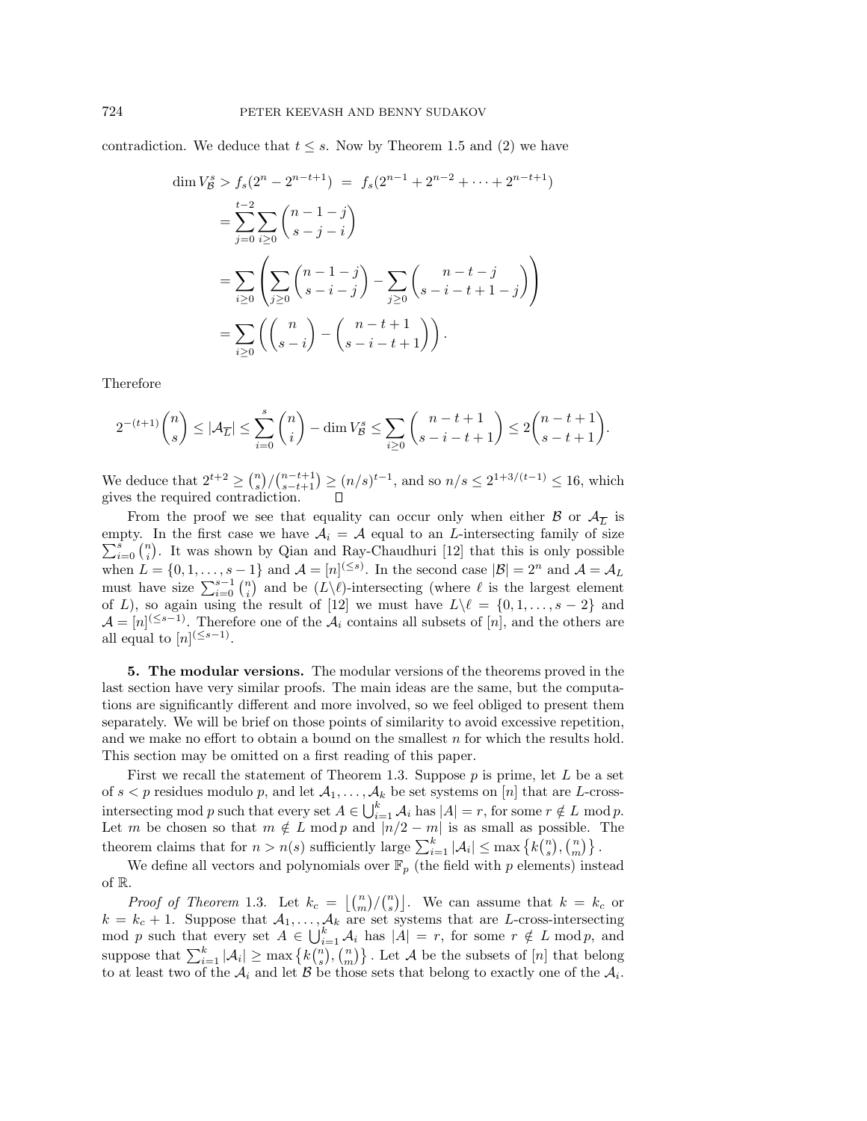contradiction. We deduce that  $t \leq s$ . Now by Theorem 1.5 and (2) we have

$$
\dim V_{\mathcal{B}}^{s} > f_{s}(2^{n} - 2^{n-t+1}) = f_{s}(2^{n-1} + 2^{n-2} + \dots + 2^{n-t+1})
$$
\n
$$
= \sum_{j=0}^{t-2} \sum_{i\geq 0} {n-1-j \choose s-j-i}
$$
\n
$$
= \sum_{i\geq 0} \left( \sum_{j\geq 0} {n-1-j \choose s-i-j} - \sum_{j\geq 0} {n-t-j \choose s-i-t+1-j} \right)
$$
\n
$$
= \sum_{i\geq 0} \left( {n \choose s-i} - {n-t+1 \choose s-i-t+1} \right).
$$

Therefore

$$
2^{-(t+1)}\binom{n}{s} \le |\mathcal{A}_{\overline{L}}| \le \sum_{i=0}^s \binom{n}{i} - \dim V^s \le \sum_{i \ge 0} \binom{n-t+1}{s-i-t+1} \le 2\binom{n-t+1}{s-t+1}.
$$

We deduce that  $2^{t+2} \geq {n \choose s} / {n-t+1 \choose s-t+1} \geq (n/s)^{t-1}$ , and so  $n/s \leq 2^{1+3/(t-1)} \leq 16$ , which gives the required contradiction.

From the proof we see that equality can occur only when either  $\mathcal{B}$  or  $\mathcal{A}_{\overline{L}}$  is empty. In the first case we have  $\mathcal{A}_i = \mathcal{A}$  equal to an *L*-intersecting family of size  $\sum_{i=1}^{s}$  (*n*) It was shown by Oian and Bay Chaudhuri [12] that this is saly passible  $\sum_{i=0}^{s} {n \choose i}$ . It was shown by Qian and Ray-Chaudhuri [12] that this is only possible when  $L = \{0, 1, \ldots, s - 1\}$  and  $\mathcal{A} = [n]^{(\leq s)}$ . In the second case  $|\mathcal{B}| = 2^n$  and  $\mathcal{A} = \mathcal{A}_L$ must have size  $\sum_{i=0}^{s-1} {n \choose i}$  and be  $(L\setminus \ell)$ -intersecting (where  $\ell$  is the largest element of L), so again using the result of [12] we must have  $L \setminus \ell = \{0, 1, \ldots, s - 2\}$  and  $\mathcal{A} = [n]^{(\leq s-1)}$ . Therefore one of the  $\mathcal{A}_i$  contains all subsets of  $[n]$ , and the others are all equal to  $[n]^{(\leq s-1)}$ .

**5. The modular versions.** The modular versions of the theorems proved in the last section have very similar proofs. The main ideas are the same, but the computations are significantly different and more involved, so we feel obliged to present them separately. We will be brief on those points of similarity to avoid excessive repetition, and we make no effort to obtain a bound on the smallest  $n$  for which the results hold. This section may be omitted on a first reading of this paper.

First we recall the statement of Theorem 1.3. Suppose  $p$  is prime, let  $L$  be a set of  $s < p$  residues modulo p, and let  $A_1, \ldots, A_k$  be set systems on [n] that are L-crossintersecting mod p such that every set  $A \in \bigcup_{i=1}^k A_i$  has  $|A| = r$ , for some  $r \notin L$  mod p. Let m be chosen so that  $m \notin L \mod p$  and  $|n/2 - m|$  is as small as possible. The theorem claims that for  $n > n(s)$  sufficiently large  $\sum_{i=1}^{k} |\mathcal{A}_i| \leq \max \left\{ k {n \choose s}, {n \choose m} \right\}.$ 

We define all vectors and polynomials over  $\mathbb{F}_p$  (the field with p elements) instead of R.

*Proof of Theorem* 1.3. Let  $k_c = \lfloor \binom{n}{m} / \binom{n}{s} \rfloor$ . We can assume that  $k = k_c$  or  $k = k_c + 1$ . Suppose that  $A_1, \ldots, A_k$  are set systems that are L-cross-intersecting mod p such that every set  $A \in \bigcup_{i=1}^{k} A_i$  has  $|A| = r$ , for some  $r \notin L \mod p$ , and suppose that  $\sum_{i=1}^k |\mathcal{A}_i| \ge \max \{k {n \choose s}, {n \choose m}\}\.$  Let  $\mathcal A$  be the subsets of  $[n]$  that belong to at least two of the  $A_i$  and let  $B$  be those sets that belong to exactly one of the  $A_i$ .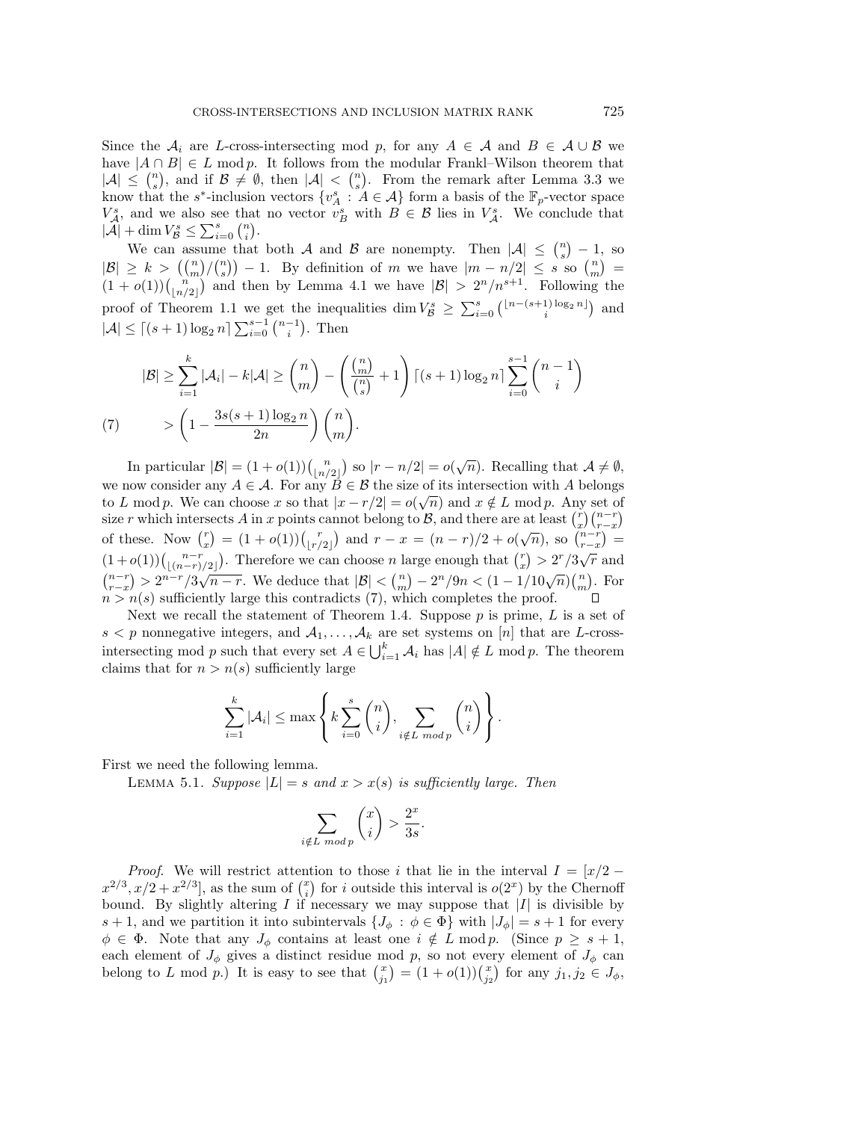Since the  $A_i$  are L-cross-intersecting mod p, for any  $A \in \mathcal{A}$  and  $B \in \mathcal{A} \cup \mathcal{B}$  we have  $|A \cap B| \in L \text{ mod } p$ . It follows from the modular Frankl–Wilson theorem that  $|\mathcal{A}| \leq {n \choose s}$ , and if  $\mathcal{B} \neq \emptyset$ , then  $|\mathcal{A}| < {n \choose s}$ . From the remark after Lemma 3.3 we know that the s<sup>\*</sup>-inclusion vectors  $\{v_A^s : A \in \mathcal{A}\}\)$  form a basis of the  $\mathbb{F}_p$ -vector space  $V_A^s$ , and we also see that no vector  $v_B^s$  with  $B \in \mathcal{B}$  lies in  $V_A^s$ . We conclude that  $|\mathcal{A}| + \dim V_{\mathcal{B}}^{s} \leq \sum_{i=0}^{s} {n \choose i}.$ 

We can assume that both A and B are nonempty. Then  $|\mathcal{A}| \leq {n \choose s} - 1$ , so  $|\mathcal{B}| \geq k > \left(\binom{n}{m}/\binom{n}{s}\right) - 1$ . By definition of m we have  $|m - n/2| \leq s$  so  $\binom{n}{m} =$  $(1+o(1))\binom{n}{\lfloor n/2\rfloor}$  and then by Lemma 4.1 we have  $|\mathcal{B}| > 2^n/n^{s+1}$ . Following the proof of Theorem 1.1 we get the inequalities dim  $V_{\mathcal{B}}^{s} \geq \sum_{i=0}^{s} {\binom{\lfloor n-(s+1)\log_2 n \rfloor}{i}}$  and  $|\mathcal{A}| \leq \lceil (s+1) \log_2 n \rceil \sum_{i=0}^{s-1} {n-1 \choose i}.$  Then

$$
|\mathcal{B}| \ge \sum_{i=1}^k |\mathcal{A}_i| - k|\mathcal{A}| \ge \binom{n}{m} - \left(\frac{\binom{n}{m}}{\binom{n}{s}} + 1\right) \left[ (s+1)\log_2 n \right] \sum_{i=0}^{s-1} \binom{n-1}{i}
$$
  
(7) 
$$
> \left(1 - \frac{3s(s+1)\log_2 n}{2n}\right) \binom{n}{m}.
$$

In particular  $|\mathcal{B}| = (1 + o(1))\binom{n}{\lfloor n/2 \rfloor}$  so  $|r - n/2| = o(\sqrt{n})$ . Recalling that  $\mathcal{A} \neq \emptyset$ , we now consider any  $A \in \mathcal{A}$ . For any  $B \in \mathcal{B}$  the size of its intersection with A belongs to L mod p. We can choose x so that  $|x - r/2| = o(\sqrt{n})$  and  $x \notin L$  mod p. Any set of size r which intersects A in x points cannot belong to B, and there are at least  $\binom{r}{x}\binom{n-r}{r-x}$ of these. Now  $\binom{r}{x} = (1 + o(1))\binom{r}{\lfloor r/2 \rfloor}$  and  $r - x = (n - r)/2 + o(\sqrt{n})$ , so  $\binom{n-r}{r-x} =$  $(1+o(1))\binom{n-r}{\lfloor (n-r)/2 \rfloor}$ . Therefore we can choose *n* large enough that  $\binom{r}{x} > 2^r/3\sqrt{r}$  and  $\binom{n-r}{r-x} > 2^{n-r}/3\sqrt{n-r}$ . We deduce that  $|B| < \binom{n}{m} - 2^n/9n < (1 - 1/10\sqrt{n})\binom{n}{m}$ . For  $n > n(s)$  sufficiently large this contradicts (7), which completes the proof.

Next we recall the statement of Theorem 1.4. Suppose  $p$  is prime,  $L$  is a set of  $s < p$  nonnegative integers, and  $A_1, \ldots, A_k$  are set systems on [n] that are L-crossintersecting mod p such that every set  $A \in \bigcup_{i=1}^{k} A_i$  has  $|A| \notin L$  mod p. The theorem claims that for  $n>n(s)$  sufficiently large

$$
\sum_{i=1}^k |\mathcal{A}_i| \le \max\left\{ k \sum_{i=0}^s \binom{n}{i}, \sum_{i \notin L \ mod p} \binom{n}{i} \right\}.
$$

First we need the following lemma.

LEMMA 5.1. Suppose  $|L| = s$  and  $x > x(s)$  is sufficiently large. Then

$$
\sum_{i \notin L \bmod p} {x \choose i} > \frac{2^x}{3s}
$$

.

*Proof.* We will restrict attention to those i that lie in the interval  $I = \lfloor x/2 - \frac{1}{2} \rfloor$  $x^{2/3}, x/2 + x^{2/3}$ , as the sum of  $\binom{x}{i}$  for i outside this interval is  $o(2^x)$  by the Chernoff bound. By slightly altering  $I$  if necessary we may suppose that  $|I|$  is divisible by s + 1, and we partition it into subintervals  $\{J_\phi : \phi \in \Phi\}$  with  $|J_\phi| = s + 1$  for every  $\phi \in \Phi$ . Note that any  $J_{\phi}$  contains at least one  $i \notin L \mod p$ . (Since  $p \geq s+1$ , each element of  $J_{\phi}$  gives a distinct residue mod p, so not every element of  $J_{\phi}$  can belong to L mod p.) It is easy to see that  $\binom{x}{j_1} = (1 + o(1))\binom{x}{j_2}$  for any  $j_1, j_2 \in J_\phi$ ,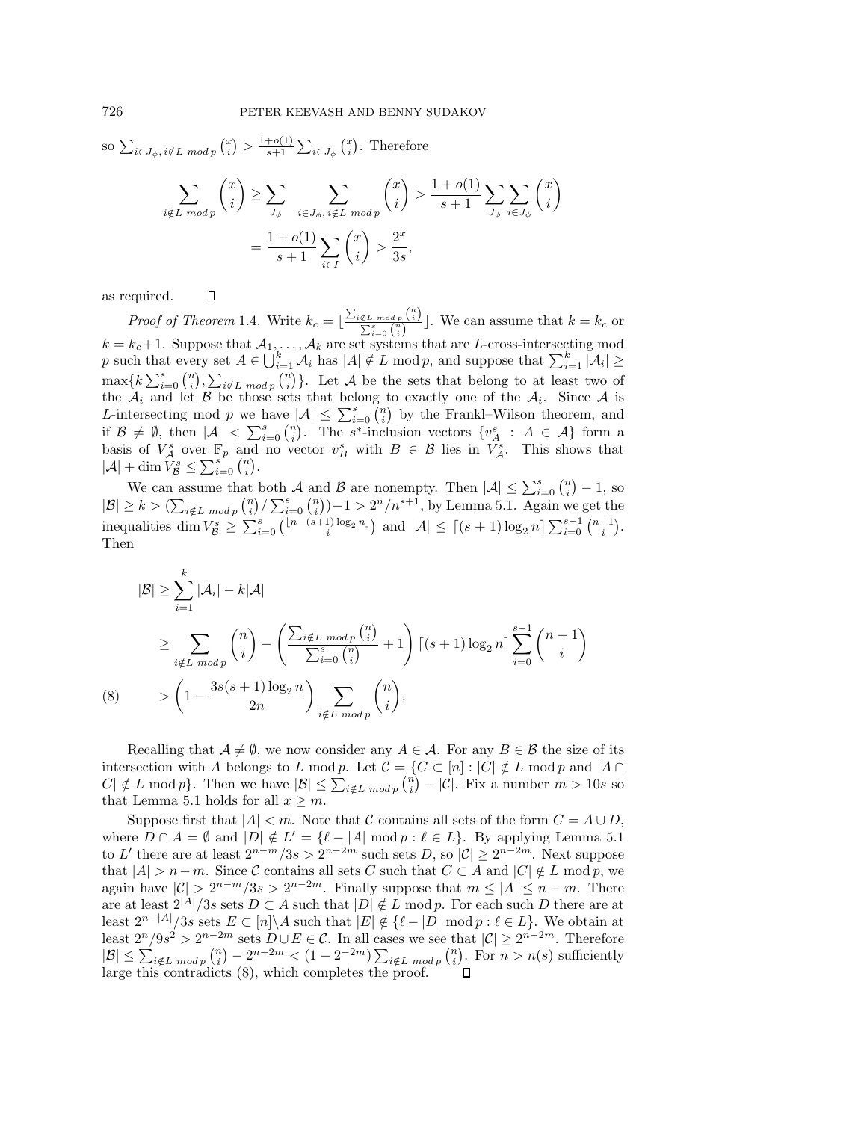so 
$$
\sum_{i \in J_{\phi}, i \notin L \mod p} {x \choose i} > \frac{1+o(1)}{s+1} \sum_{i \in J_{\phi}} {x \choose i}
$$
. Therefore  

$$
\sum_{i \notin L \mod p} {x \choose i} \ge \sum_{J_{\phi}} \sum_{i \in J_{\phi}, i \notin L \mod p} {x \choose i} > \frac{1+o(1)}{s+1} \sum_{J_{\phi}} \sum_{i \in J_{\phi}} {x \choose i}
$$

$$
= \frac{1+o(1)}{s+1} \sum_{i \in I} {x \choose i} > \frac{2^x}{3s},
$$

as required.  $\Box$ 

*Proof of Theorem* 1.4. Write  $k_c = \lfloor \frac{\sum_{i \notin L \ mod p} {n \choose i}}{\sum_{i}^{s} {n \choose i}} \rfloor$  $\frac{\notin L \mod p \setminus i}{\sum_{i=0}^s {n \choose i}}$ . We can assume that  $k = k_c$  or  $k = k_c+1$ . Suppose that  $A_1, \ldots, A_k$  are set systems that are L-cross-intersecting mod p such that every set  $A \in \bigcup_{i=1}^k \mathcal{A}_i$  has  $|A| \notin L \text{ mod } p$ , and suppose that  $\sum_{i=1}^k |\mathcal{A}_i| \ge$  $\max\{k\sum_{i=0}^{s} {n \choose i}, \sum_{i \notin L \bmod p} {n \choose i}\}.$  Let A be the sets that belong to at least two of the  $A_i$  and let B be those sets that belong to exactly one of the  $A_i$ . Since A is L-intersecting mod p we have  $|\mathcal{A}| \leq \sum_{i=0}^{s} {n \choose i}$  by the Frankl–Wilson theorem, and if  $\mathcal{B} \neq \emptyset$ , then  $|\mathcal{A}| < \sum_{i=0}^{s} {n \choose i}$ . The s<sup>\*</sup>-inclusion vectors  $\{v_A^s : A \in \mathcal{A}\}\)$  form a basis of  $V_A^s$  over  $\mathbb{F}_p$  and no vector  $v_B^s$  with  $B \in \mathcal{B}$  lies in  $V_A^s$ . This shows that  $|\mathcal{A}| + \dim \widehat{V}_{\mathcal{B}}^{s} \leq \sum_{i=0}^{s} {n \choose i}.$ 

We can assume that both A and B are nonempty. Then  $|\mathcal{A}| \leq \sum_{i=0}^{s} {n \choose i} - 1$ , so  $|\mathcal{B}| \geq k > (\sum_{i \notin L \bmod p} {n \choose i} / \sum_{i=0}^{s} {n \choose i} - 1 > 2^{n} / n^{s+1}$ , by Lemma 5.1. Again we get the inequalities dim  $V_{\mathcal{B}}^s \geq \sum_{i=0}^s {\binom{\lfloor n-(s+1)\log_2 n \rfloor}{i}}$  and  $|\mathcal{A}| \leq \lceil (s+1)\log_2 n \rceil \sum_{i=0}^{s-1} {\binom{n-1}{i}}$ . Then

$$
|\mathcal{B}| \geq \sum_{i=1}^{k} |\mathcal{A}_i| - k|\mathcal{A}|
$$
  
\n
$$
\geq \sum_{i \notin L \bmod p} {n \choose i} - \left( \frac{\sum_{i \notin L \bmod p} {n \choose i}}{\sum_{i=0}^{s} {n \choose i}} + 1 \right) \left[ (s+1) \log_2 n \right] \sum_{i=0}^{s-1} {n-1 \choose i}
$$
  
\n(8) 
$$
> \left( 1 - \frac{3s(s+1) \log_2 n}{2n} \right) \sum_{i \notin L \bmod p} {n \choose i}.
$$

Recalling that  $A \neq \emptyset$ , we now consider any  $A \in \mathcal{A}$ . For any  $B \in \mathcal{B}$  the size of its intersection with A belongs to L mod p. Let  $\mathcal{C} = \{C \subset [n] : |C| \notin L \text{ mod } p \text{ and } |A \cap D| \}$  $|C| \notin L \mod p$ . Then we have  $|B| \leq \sum_{i \notin L \mod p} {n \choose i} - |C|$ . Fix a number  $m > 10s$  so that Lemma 5.1 holds for all  $x \geq m$ .

Suppose first that  $|A| < m$ . Note that C contains all sets of the form  $C = A \cup D$ , where  $D \cap A = \emptyset$  and  $|D| \notin L' = \{\ell - |A| \mod p : \ell \in L\}$ . By applying Lemma 5.1 to L' there are at least  $2^{n-m}/3s > 2^{n-2m}$  such sets D, so  $|\mathcal{C}| \geq 2^{n-2m}$ . Next suppose that  $|A| > n-m$ . Since C contains all sets C such that  $C \subset A$  and  $|C| \notin L \mod p$ , we again have  $|\mathcal{C}| > 2^{n-m}/3s > 2^{n-2m}$ . Finally suppose that  $m \leq |A| \leq n-m$ . There are at least  $2^{|A|}/3s$  sets  $D \subset A$  such that  $|D| \notin L \text{ mod } p$ . For each such D there are at least  $2^{n-|A|}/3s$  sets  $E \subset [n] \backslash A$  such that  $|E| \notin {\ell - |D| \mod p : \ell \in L}$ . We obtain at least  $2^n/9s^2 > 2^{n-2m}$  sets  $D \cup E \in \mathcal{C}$ . In all cases we see that  $|\mathcal{C}| \geq 2^{n-2m}$ . Therefore  $|B| \leq \sum_{i \notin L \mod p} {n \choose i} - 2^{n-2m} < (1 - 2^{-2m}) \sum_{i \notin L \mod p} {n \choose i}$ . For  $n > n(s)$  sufficiently large this contradicts (8), which completes the proof.